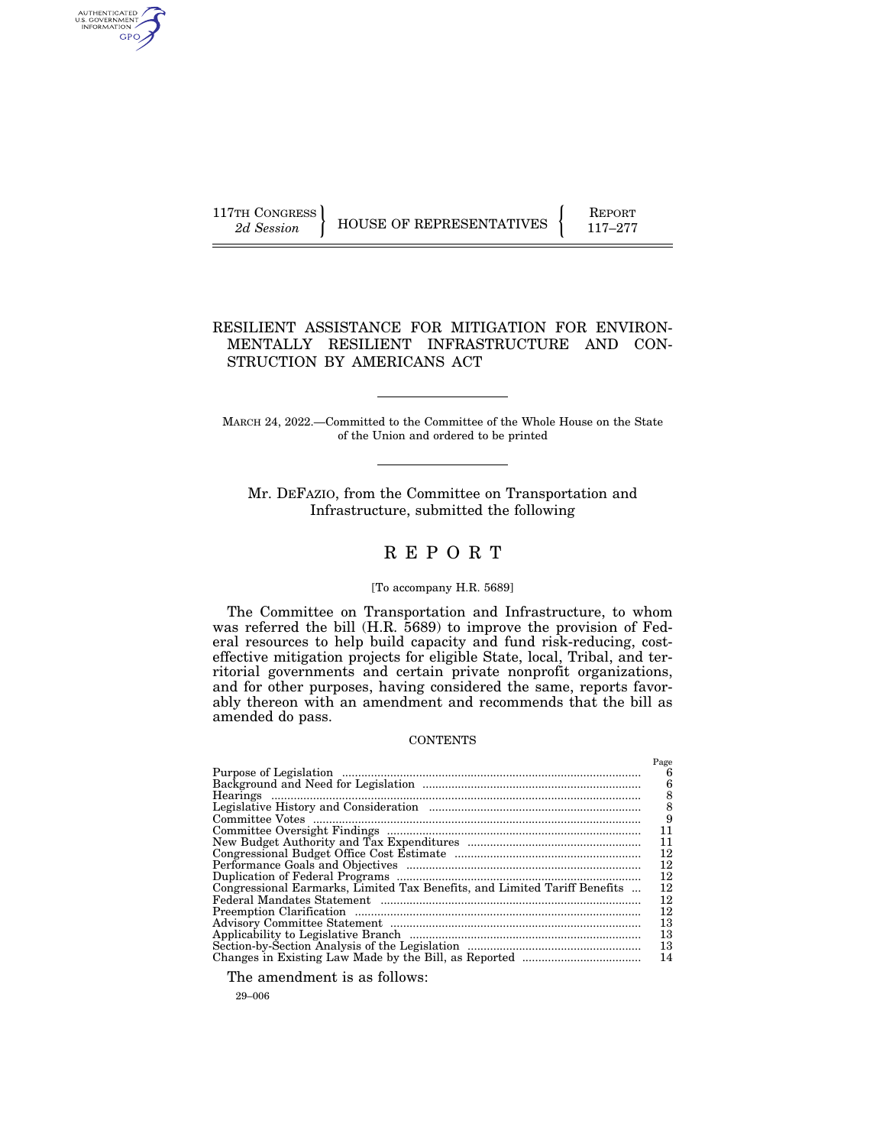AUTHENTICATED<br>U.S. GOVERNMENT<br>INFORMATION GPO

117TH CONGRESS HOUSE OF REPRESENTATIVES FEPORT 117-277

# RESILIENT ASSISTANCE FOR MITIGATION FOR ENVIRON-MENTALLY RESILIENT INFRASTRUCTURE AND CON-STRUCTION BY AMERICANS ACT

MARCH 24, 2022.—Committed to the Committee of the Whole House on the State of the Union and ordered to be printed

Mr. DEFAZIO, from the Committee on Transportation and Infrastructure, submitted the following

# R E P O R T

## [To accompany H.R. 5689]

The Committee on Transportation and Infrastructure, to whom was referred the bill (H.R. 5689) to improve the provision of Federal resources to help build capacity and fund risk-reducing, costeffective mitigation projects for eligible State, local, Tribal, and territorial governments and certain private nonprofit organizations, and for other purposes, having considered the same, reports favorably thereon with an amendment and recommends that the bill as amended do pass.

#### **CONTENTS**

|                                                                           | Page |
|---------------------------------------------------------------------------|------|
|                                                                           | 6    |
|                                                                           | 6    |
|                                                                           | 8    |
|                                                                           | 8    |
|                                                                           | 9    |
|                                                                           | 11   |
|                                                                           | 11   |
|                                                                           | 12   |
|                                                                           | 12   |
|                                                                           | 12   |
| Congressional Earmarks, Limited Tax Benefits, and Limited Tariff Benefits | 12   |
|                                                                           | 12   |
|                                                                           | 12   |
|                                                                           | 13   |
|                                                                           | 13   |
|                                                                           | 13   |
|                                                                           | 14   |

The amendment is as follows:

29–006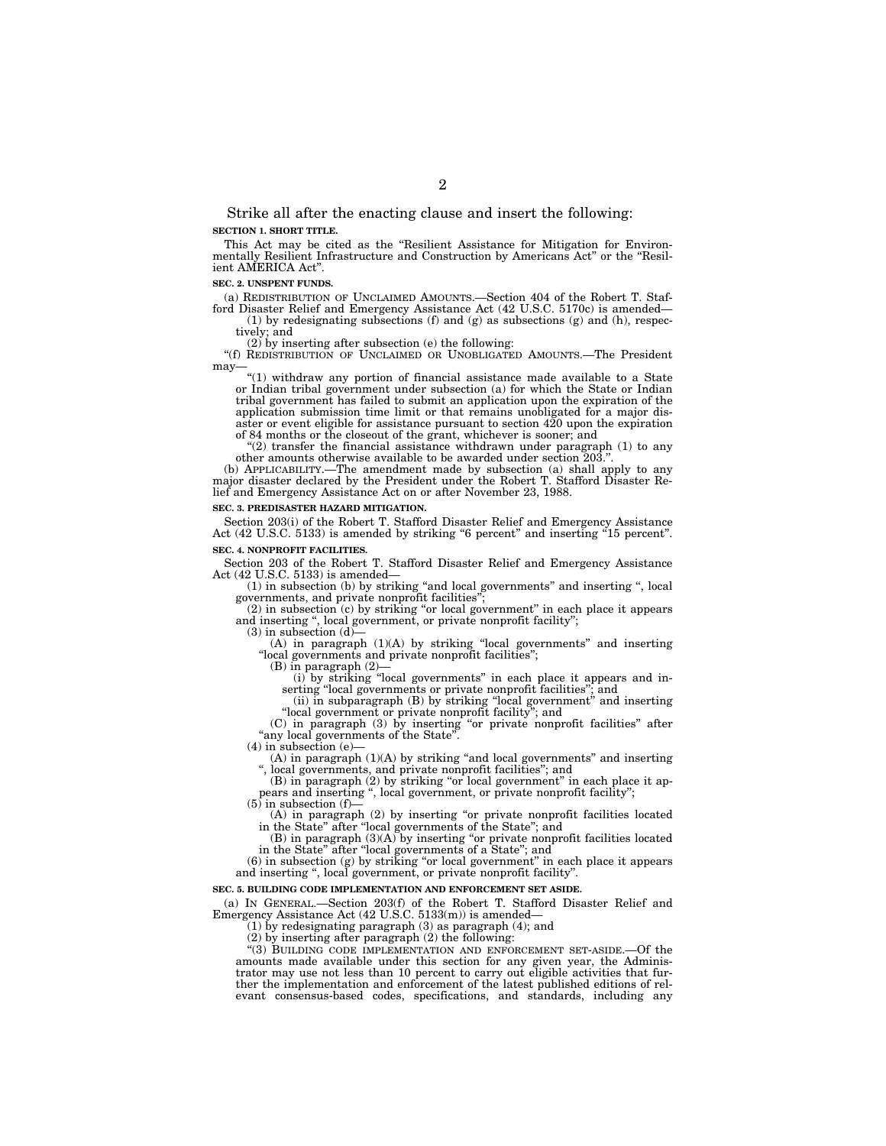Strike all after the enacting clause and insert the following: **SECTION 1. SHORT TITLE.** 

This Act may be cited as the "Resilient Assistance for Mitigation for Environmentally Resilient Infrastructure and Construction by Americans Act" or the "Resilient AMERICA Act''.

**SEC. 2. UNSPENT FUNDS.** 

(a) REDISTRIBUTION OF UNCLAIMED AMOUNTS.—Section 404 of the Robert T. Stafford Disaster Relief and Emergency Assistance Act (42 U.S.C. 5170c) is amended—

(1) by redesignating subsections (f) and (g) as subsections (g) and (h), respectively; and

 $(2)$  by inserting after subsection (e) the following:

''(f) REDISTRIBUTION OF UNCLAIMED OR UNOBLIGATED AMOUNTS.—The President may-

''(1) withdraw any portion of financial assistance made available to a State or Indian tribal government under subsection (a) for which the State or Indian tribal government has failed to submit an application upon the expiration of the application submission time limit or that remains unobligated for a major disaster or event eligible for assistance pursuant to section  $420$  upon the expiration of 84 months or the closeout of the grant, whichever is sooner; and

"(2) transfer the financial assistance withdrawn under paragraph (1) to any other amounts otherwise available to be awarded under section 203.''.

(b) APPLICABILITY.—The amendment made by subsection (a) shall apply to any major disaster declared by the President under the Robert T. Stafford Disaster Relief and Emergency Assistance Act on or after November 23, 1988.

#### **SEC. 3. PREDISASTER HAZARD MITIGATION.**

Section 203(i) of the Robert T. Stafford Disaster Relief and Emergency Assistance Act (42 U.S.C. 5133) is amended by striking "6 percent" and inserting "15 percent".

#### **SEC. 4. NONPROFIT FACILITIES.**

Section 203 of the Robert T. Stafford Disaster Relief and Emergency Assistance Act (42 U.S.C. 5133) is amended—

(1) in subsection (b) by striking ''and local governments'' and inserting '', local governments, and private nonprofit facilities''; (2) in subsection (c) by striking ''or local government'' in each place it appears

and inserting '', local government, or private nonprofit facility'';

 $(3)$  in subsection  $(d)$ 

(A) in paragraph (1)(A) by striking ''local governments'' and inserting ''local governments and private nonprofit facilities'';

(B) in paragraph (2)— (i) by striking ''local governments'' in each place it appears and inserting ''local governments or private nonprofit facilities''; and (ii) in subparagraph (B) by striking ''local government'' and inserting

''local government or private nonprofit facility''; and (C) in paragraph (3) by inserting ''or private nonprofit facilities'' after

''any local governments of the State''.

(4) in subsection (e)—

(A) in paragraph (1)(A) by striking ''and local governments'' and inserting

'', local governments, and private nonprofit facilities''; and (B) in paragraph (2) by striking ''or local government'' in each place it ap-pears and inserting '', local government, or private nonprofit facility'';

 $(5)$  in subsection (f)-

(A) in paragraph (2) by inserting ''or private nonprofit facilities located in the State'' after ''local governments of the State''; and

 $(B)$  in paragraph  $(3)(A)$  by inserting "or private nonprofit facilities located in the State'' after ''local governments of a State''; and

(6) in subsection (g) by striking ''or local government'' in each place it appears and inserting ", local government, or private nonprofit facility".

#### **SEC. 5. BUILDING CODE IMPLEMENTATION AND ENFORCEMENT SET ASIDE.**

(a) IN GENERAL.—Section 203(f) of the Robert T. Stafford Disaster Relief and Emergency Assistance Act (42 U.S.C. 5133(m)) is amended—

(1) by redesignating paragraph (3) as paragraph (4); and

(2) by inserting after paragraph (2) the following:

''(3) BUILDING CODE IMPLEMENTATION AND ENFORCEMENT SET-ASIDE.—Of the amounts made available under this section for any given year, the Administrator may use not less than 10 percent to carry out eligible activities that further the implementation and enforcement of the latest published editions of relevant consensus-based codes, specifications, and standards, including any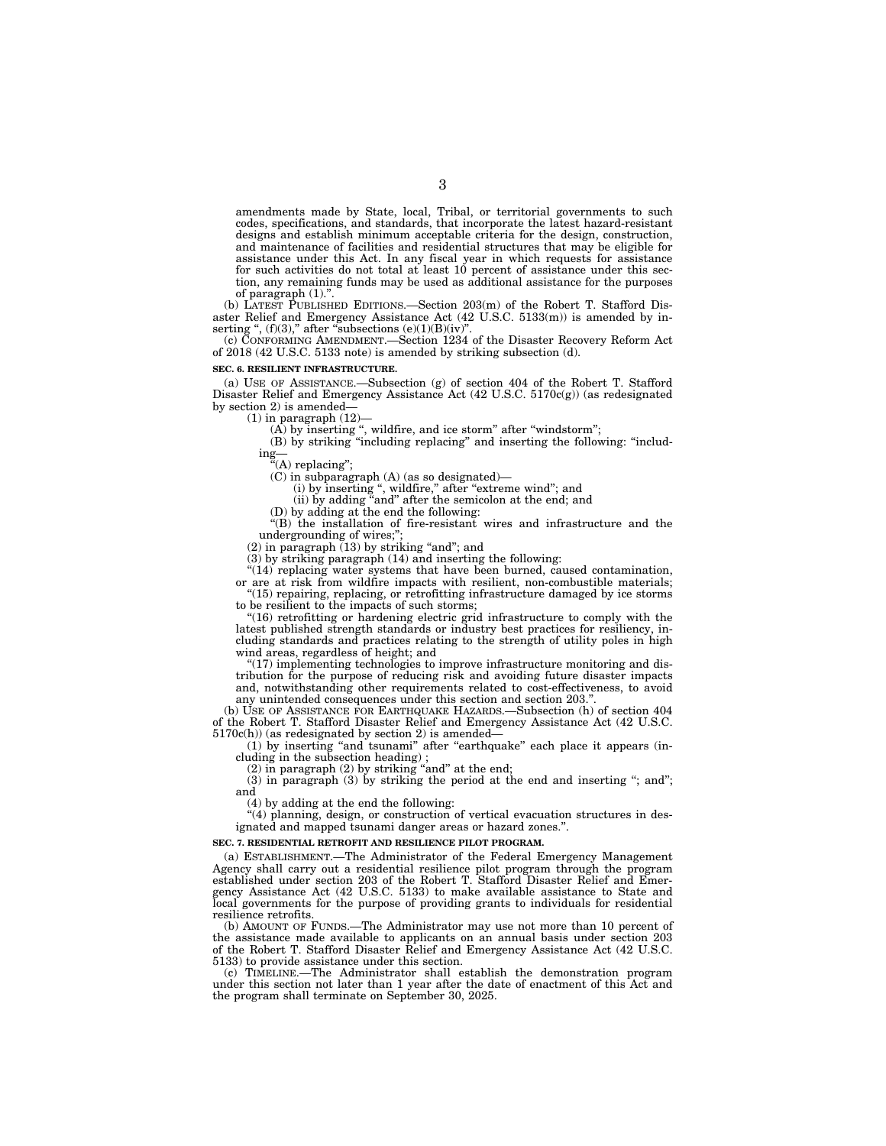amendments made by State, local, Tribal, or territorial governments to such codes, specifications, and standards, that incorporate the latest hazard-resistant designs and establish minimum acceptable criteria for the design, construction, and maintenance of facilities and residential structures that may be eligible for assistance under this Act. In any fiscal year in which requests for assistance for such activities do not total at least 10 percent of assistance under this section, any remaining funds may be used as additional assistance for the purposes of paragraph (1).''.

(b) LATEST PUBLISHED EDITIONS.—Section 203(m) of the Robert T. Stafford Disaster Relief and Emergency Assistance Act (42 U.S.C. 5133(m)) is amended by inserting ",  $(f)(3)$ ," after "subsections  $(e)(1)(B)(iv)$ ".

(c) CONFORMING AMENDMENT.—Section 1234 of the Disaster Recovery Reform Act of 2018 (42 U.S.C. 5133 note) is amended by striking subsection (d).

#### **SEC. 6. RESILIENT INFRASTRUCTURE.**

(a) USE OF ASSISTANCE.—Subsection (g) of section 404 of the Robert T. Stafford Disaster Relief and Emergency Assistance Act (42 U.S.C. 5170c(g)) (as redesignated by section 2) is amended—

 $(1)$  in paragraph  $(12)$ -

 $(A)$  by inserting ", wildfire, and ice storm" after "windstorm";

(B) by striking ''including replacing'' and inserting the following: ''including—

''(A) replacing'';

(C) in subparagraph (A) (as so designated)—

(i) by inserting ", wildfire," after "extreme wind"; and

(ii) by adding "and" after the semicolon at the end; and

(D) by adding at the end the following:

''(B) the installation of fire-resistant wires and infrastructure and the undergrounding of wires:

 $(2)$  in paragraph  $(13)$  by striking "and"; and

(3) by striking paragraph (14) and inserting the following:

"(14) replacing water systems that have been burned, caused contamination, or are at risk from wildfire impacts with resilient, non-combustible materials;

"(15) repairing, replacing, or retrofitting infrastructure damaged by ice storms to be resilient to the impacts of such storms;

''(16) retrofitting or hardening electric grid infrastructure to comply with the latest published strength standards or industry best practices for resiliency, including standards and practices relating to the strength of utility poles in high wind areas, regardless of height; and

 $(17)$  implementing technologies to improve infrastructure monitoring and distribution for the purpose of reducing risk and avoiding future disaster impacts and, notwithstanding other requirements related to cost-effectiveness, to avoid any unintended consequences under this section and section 203.''.

(b) USE OF ASSISTANCE FOR EARTHQUAKE HAZARDS.—Subsection (h) of section 404 of the Robert T. Stafford Disaster Relief and Emergency Assistance Act (42 U.S.C. 5170c(h)) (as redesignated by section 2) is amended—

(1) by inserting "and tsunami" after "earthquake" each place it appears (including in the subsection heading) ;

 $(2)$  in paragraph  $(2)$  by striking "and" at the end;

(3) in paragraph (3) by striking the period at the end and inserting "; and"; and

(4) by adding at the end the following:

(4) planning, design, or construction of vertical evacuation structures in designated and mapped tsunami danger areas or hazard zones.''.

#### **SEC. 7. RESIDENTIAL RETROFIT AND RESILIENCE PILOT PROGRAM.**

(a) ESTABLISHMENT.—The Administrator of the Federal Emergency Management Agency shall carry out a residential resilience pilot program through the program established under section 203 of the Robert T. Stafford Disaster Relief and Emergency Assistance Act (42 U.S.C. 5133) to make available assistance to State and local governments for the purpose of providing grants to individuals for residential resilience retrofits.

(b) AMOUNT OF FUNDS.—The Administrator may use not more than 10 percent of the assistance made available to applicants on an annual basis under section 203 of the Robert T. Stafford Disaster Relief and Emergency Assistance Act (42 U.S.C. 5133) to provide assistance under this section.

(c) TIMELINE.—The Administrator shall establish the demonstration program under this section not later than 1 year after the date of enactment of this Act and the program shall terminate on September 30, 2025.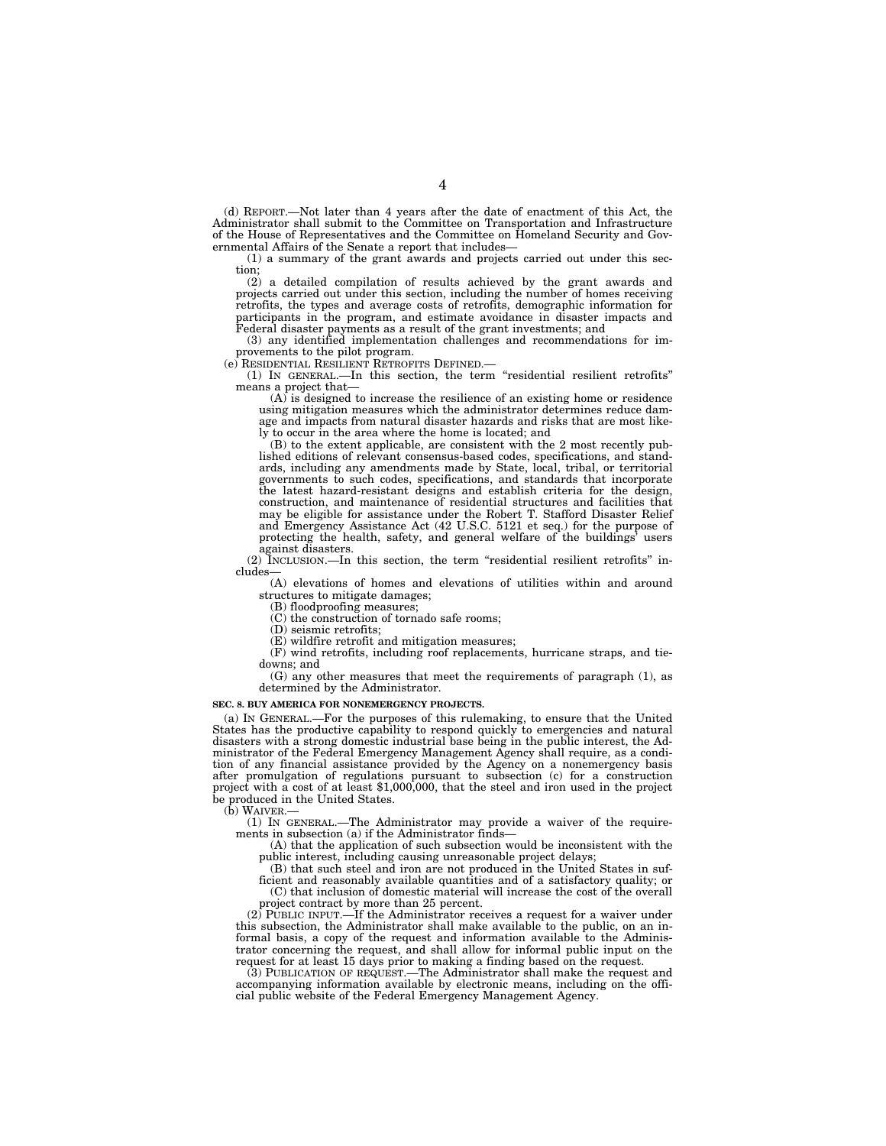(d) REPORT.—Not later than 4 years after the date of enactment of this Act, the Administrator shall submit to the Committee on Transportation and Infrastructure of the House of Representatives and the Committee on Homeland Security and Governmental Affairs of the Senate a report that includes—

(1) a summary of the grant awards and projects carried out under this section;

(2) a detailed compilation of results achieved by the grant awards and projects carried out under this section, including the number of homes receiving retrofits, the types and average costs of retrofits, demographic information for participants in the program, and estimate avoidance in disaster impacts and Federal disaster payments as a result of the grant investments; and

(3) any identified implementation challenges and recommendations for improvements to the pilot program.

(e) RESIDENTIAL RESILIENT RETROFITS DEFINED.—

(1) IN GENERAL.—In this section, the term ''residential resilient retrofits'' means a project that—

(A) is designed to increase the resilience of an existing home or residence using mitigation measures which the administrator determines reduce damage and impacts from natural disaster hazards and risks that are most likely to occur in the area where the home is located; and

(B) to the extent applicable, are consistent with the 2 most recently published editions of relevant consensus-based codes, specifications, and standards, including any amendments made by State, local, tribal, or territorial governments to such codes, specifications, and standards that incorporate the latest hazard-resistant designs and establish criteria for the design, construction, and maintenance of residential structures and facilities that may be eligible for assistance under the Robert T. Stafford Disaster Relief and Emergency Assistance Act (42 U.S.C. 5121 et seq.) for the purpose of protecting the health, safety, and general welfare of the buildings' users against disasters.

(2) INCLUSION.—In this section, the term ''residential resilient retrofits'' includes—

(A) elevations of homes and elevations of utilities within and around structures to mitigate damages;

(B) floodproofing measures;

(C) the construction of tornado safe rooms;

(D) seismic retrofits;

(E) wildfire retrofit and mitigation measures;

(F) wind retrofits, including roof replacements, hurricane straps, and tiedowns; and

(G) any other measures that meet the requirements of paragraph (1), as determined by the Administrator.

#### **SEC. 8. BUY AMERICA FOR NONEMERGENCY PROJECTS.**

(a) IN GENERAL.—For the purposes of this rulemaking, to ensure that the United States has the productive capability to respond quickly to emergencies and natural disasters with a strong domestic industrial base being in the public interest, the Administrator of the Federal Emergency Management Agency shall require, as a condition of any financial assistance provided by the Agency on a nonemergency basis after promulgation of regulations pursuant to subsection (c) for a construction project with a cost of at least \$1,000,000, that the steel and iron used in the project be produced in the United States.

(b) WAIVER.—

(1) IN GENERAL.—The Administrator may provide a waiver of the requirements in subsection (a) if the Administrator finds—

(A) that the application of such subsection would be inconsistent with the public interest, including causing unreasonable project delays;

(B) that such steel and iron are not produced in the United States in sufficient and reasonably available quantities and of a satisfactory quality; or (C) that inclusion of domestic material will increase the cost of the overall

project contract by more than 25 percent. (2) PUBLIC INPUT.—If the Administrator receives a request for a waiver under this subsection, the Administrator shall make available to the public, on an informal basis, a copy of the request and information available to the Administrator concerning the request, and shall allow for informal public input on the request for at least 15 days prior to making a finding based on the request.

(3) PUBLICATION OF REQUEST.—The Administrator shall make the request and accompanying information available by electronic means, including on the official public website of the Federal Emergency Management Agency.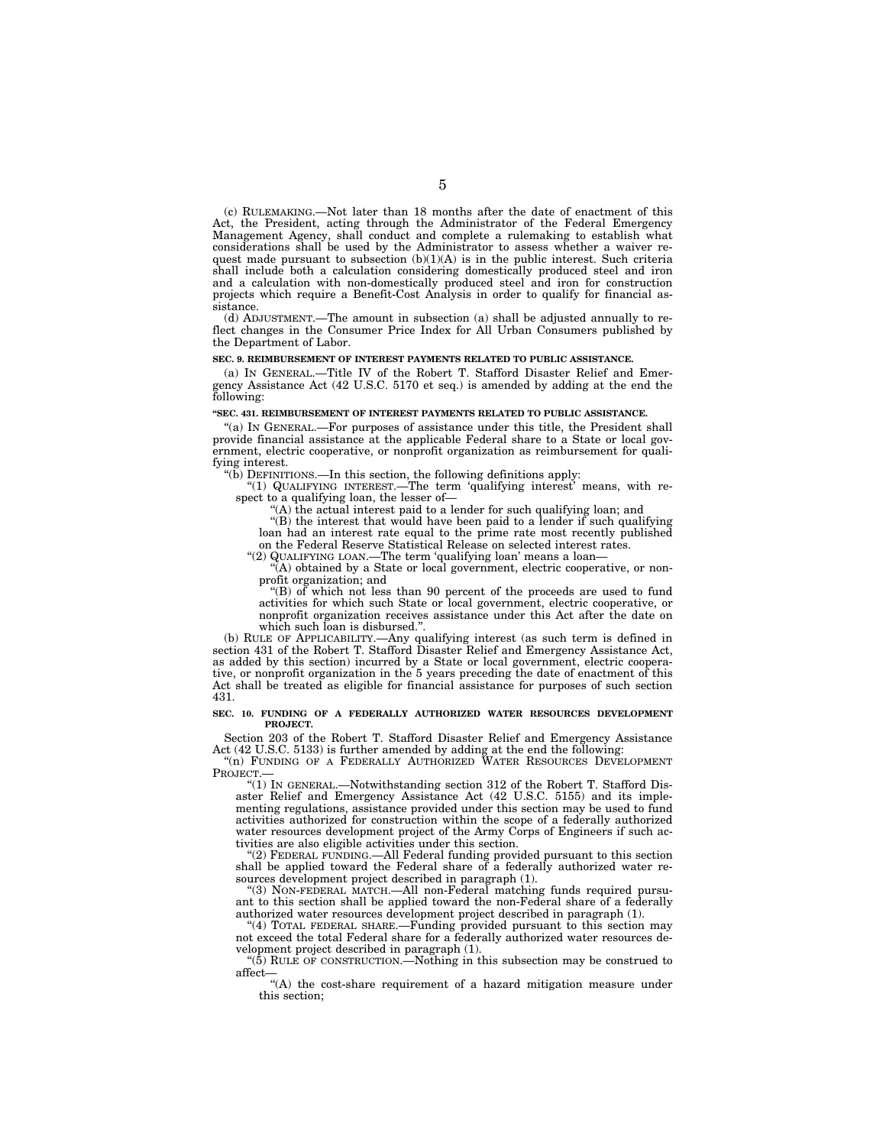(c) RULEMAKING.—Not later than 18 months after the date of enactment of this Act, the President, acting through the Administrator of the Federal Emergency Management Agency, shall conduct and complete a rulemaking to establish what considerations shall be used by the Administrator to assess whether a waiver request made pursuant to subsection  $(b)(1)(A)$  is in the public interest. Such criteria shall include both a calculation considering domestically produced steel and iron and a calculation with non-domestically produced steel and iron for construction projects which require a Benefit-Cost Analysis in order to qualify for financial assistance.

(d) ADJUSTMENT.—The amount in subsection (a) shall be adjusted annually to reflect changes in the Consumer Price Index for All Urban Consumers published by the Department of Labor.

#### **SEC. 9. REIMBURSEMENT OF INTEREST PAYMENTS RELATED TO PUBLIC ASSISTANCE.**

(a) IN GENERAL.—Title IV of the Robert T. Stafford Disaster Relief and Emergency Assistance Act (42 U.S.C. 5170 et seq.) is amended by adding at the end the following:

#### **''SEC. 431. REIMBURSEMENT OF INTEREST PAYMENTS RELATED TO PUBLIC ASSISTANCE.**

''(a) IN GENERAL.—For purposes of assistance under this title, the President shall provide financial assistance at the applicable Federal share to a State or local government, electric cooperative, or nonprofit organization as reimbursement for qualifying interest.

"(b) DEFINITIONS.—In this section, the following definitions apply:

''(1) QUALIFYING INTEREST.—The term 'qualifying interest' means, with respect to a qualifying loan, the lesser of-

''(A) the actual interest paid to a lender for such qualifying loan; and

''(B) the interest that would have been paid to a lender if such qualifying loan had an interest rate equal to the prime rate most recently published on the Federal Reserve Statistical Release on selected interest rates.

''(2) QUALIFYING LOAN.—The term 'qualifying loan' means a loan—

''(A) obtained by a State or local government, electric cooperative, or nonprofit organization; and

" $(B)$  of which not less than 90 percent of the proceeds are used to fund activities for which such State or local government, electric cooperative, or nonprofit organization receives assistance under this Act after the date on which such loan is disbursed.".

(b) RULE OF APPLICABILITY.—Any qualifying interest (as such term is defined in section 431 of the Robert T. Stafford Disaster Relief and Emergency Assistance Act, as added by this section) incurred by a State or local government, electric cooperative, or nonprofit organization in the 5 years preceding the date of enactment of this Act shall be treated as eligible for financial assistance for purposes of such section 431.

#### **SEC. 10. FUNDING OF A FEDERALLY AUTHORIZED WATER RESOURCES DEVELOPMENT PROJECT.**

Section 203 of the Robert T. Stafford Disaster Relief and Emergency Assistance Act (42 U.S.C. 5133) is further amended by adding at the end the following:

''(n) FUNDING OF A FEDERALLY AUTHORIZED WATER RESOURCES DEVELOPMENT PROJECT.—

''(1) IN GENERAL.—Notwithstanding section 312 of the Robert T. Stafford Disaster Relief and Emergency Assistance Act (42 U.S.C. 5155) and its implementing regulations, assistance provided under this section may be used to fund activities authorized for construction within the scope of a federally authorized water resources development project of the Army Corps of Engineers if such activities are also eligible activities under this section.

''(2) FEDERAL FUNDING.—All Federal funding provided pursuant to this section shall be applied toward the Federal share of a federally authorized water resources development project described in paragraph (1).

''(3) NON-FEDERAL MATCH.—All non-Federal matching funds required pursuant to this section shall be applied toward the non-Federal share of a federally authorized water resources development project described in paragraph (1).

''(4) TOTAL FEDERAL SHARE.—Funding provided pursuant to this section may not exceed the total Federal share for a federally authorized water resources development project described in paragraph (1).

" $(5)$  RULE OF CONSTRUCTION.—Nothing in this subsection may be construed to affect—

''(A) the cost-share requirement of a hazard mitigation measure under this section;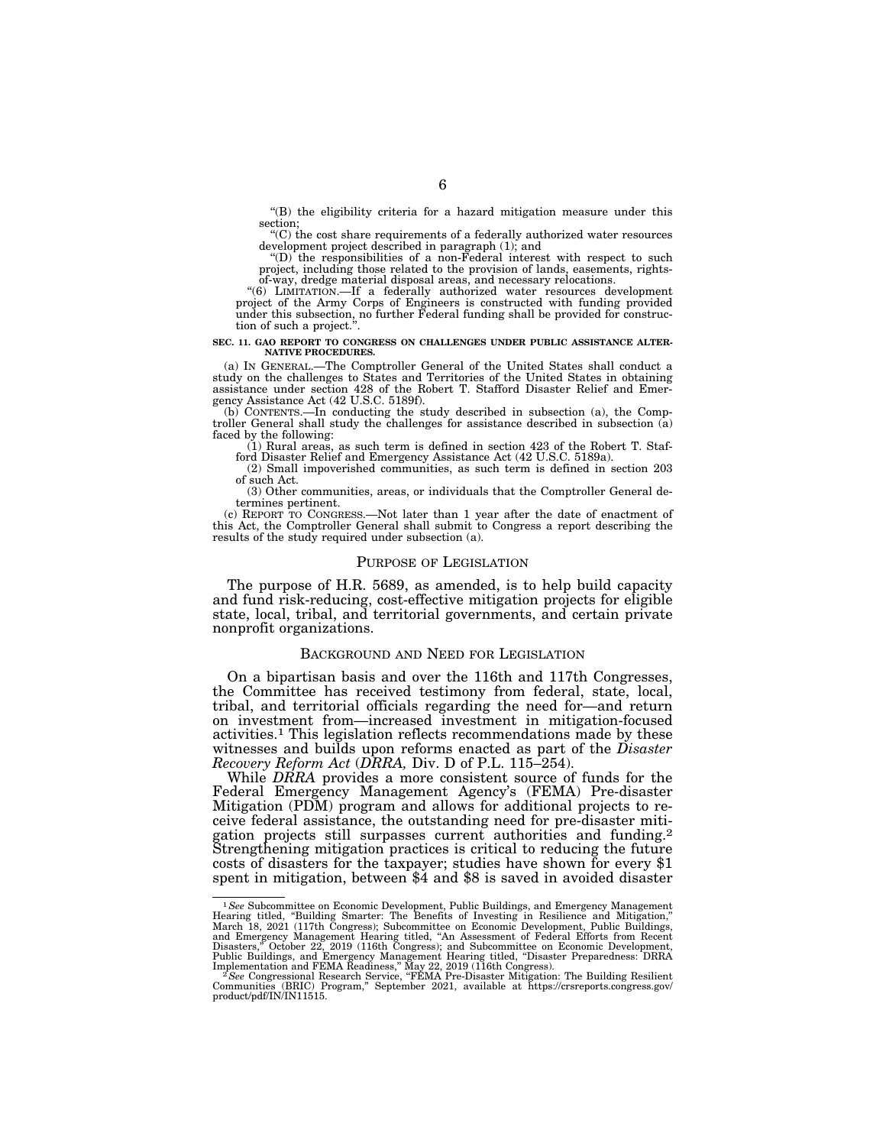''(B) the eligibility criteria for a hazard mitigation measure under this section;

''(C) the cost share requirements of a federally authorized water resources development project described in paragraph (1); and

''(D) the responsibilities of a non-Federal interest with respect to such project, including those related to the provision of lands, easements, rightsof-way, dredge material disposal areas, and necessary relocations.

''(6) LIMITATION.—If a federally authorized water resources development project of the Army Corps of Engineers is constructed with funding provided under this subsection, no further Federal funding shall be provided for construc-tion of such a project.''.

#### **SEC. 11. GAO REPORT TO CONGRESS ON CHALLENGES UNDER PUBLIC ASSISTANCE ALTER-NATIVE PROCEDURES.**

(a) IN GENERAL.—The Comptroller General of the United States shall conduct a study on the challenges to States and Territories of the United States in obtaining assistance under section 428 of the Robert T. Stafford Disaster Relief and Emergency Assistance Act (42 U.S.C. 5189f).

(b) CONTENTS.—In conducting the study described in subsection (a), the Comptroller General shall study the challenges for assistance described in subsection (a) faced by the following:

(1) Rural areas, as such term is defined in section 423 of the Robert T. Stafford Disaster Relief and Emergency Assistance Act (42 U.S.C. 5189a).

(2) Small impoverished communities, as such term is defined in section 203 of such Act.

(3) Other communities, areas, or individuals that the Comptroller General determines pertinent.

(c) REPORT TO CONGRESS.—Not later than 1 year after the date of enactment of this Act, the Comptroller General shall submit to Congress a report describing the results of the study required under subsection (a).

## PURPOSE OF LEGISLATION

The purpose of H.R. 5689, as amended, is to help build capacity and fund risk-reducing, cost-effective mitigation projects for eligible state, local, tribal, and territorial governments, and certain private nonprofit organizations.

## BACKGROUND AND NEED FOR LEGISLATION

On a bipartisan basis and over the 116th and 117th Congresses, the Committee has received testimony from federal, state, local, tribal, and territorial officials regarding the need for—and return on investment from—increased investment in mitigation-focused activities.1 This legislation reflects recommendations made by these witnesses and builds upon reforms enacted as part of the *Disaster Recovery Reform Act* (*DRRA,* Div. D of P.L. 115–254).

While *DRRA* provides a more consistent source of funds for the Federal Emergency Management Agency's (FEMA) Pre-disaster Mitigation (PDM) program and allows for additional projects to receive federal assistance, the outstanding need for pre-disaster mitigation projects still surpasses current authorities and funding.2 Strengthening mitigation practices is critical to reducing the future costs of disasters for the taxpayer; studies have shown for every \$1 spent in mitigation, between \$4 and \$8 is saved in avoided disaster

<sup>1</sup>*See* Subcommittee on Economic Development, Public Buildings, and Emergency Management Hearing titled, "Building Smarter: The Benefits of Investing in Resilience and Mitigation,"<br>March 18, 2021 (117th Congress); Subcommittee on Economic Development, Public Buldings,<br>and Emergency Management Hearing titled, "

product/pdf/IN/IN11515.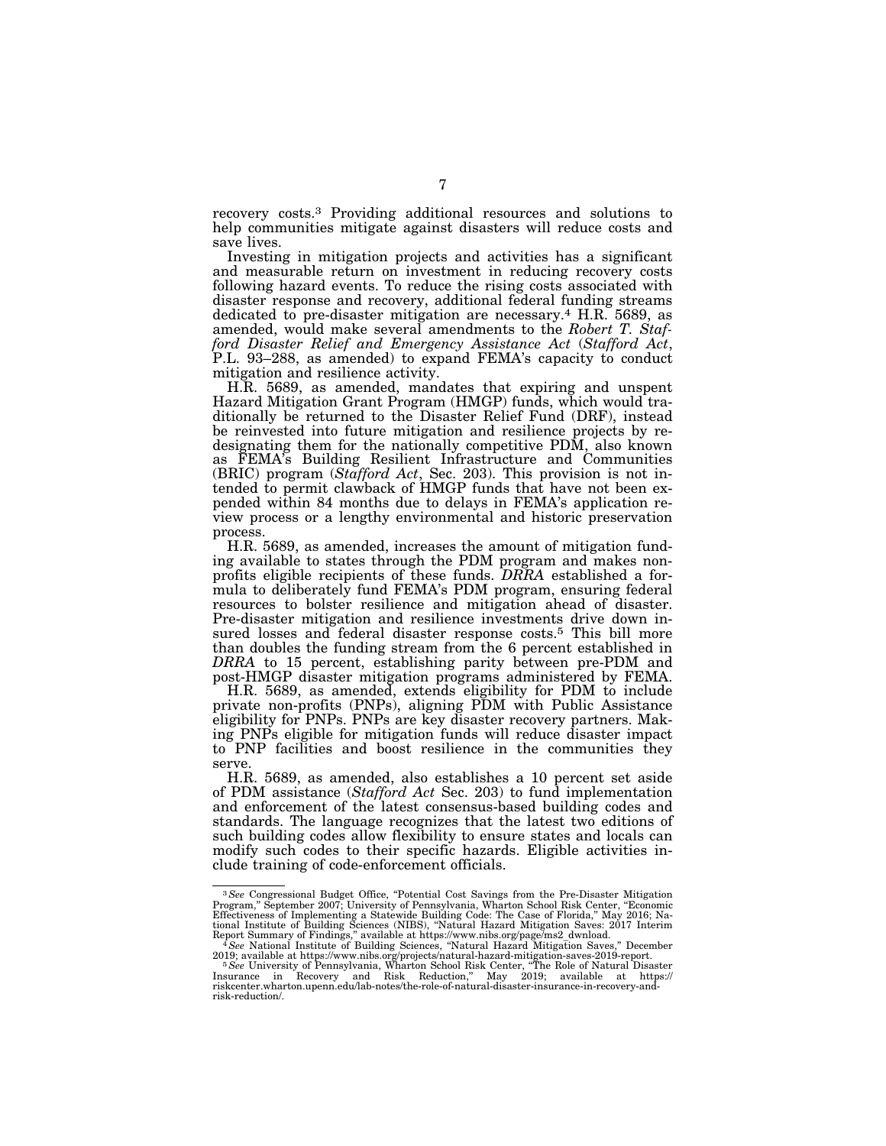recovery costs.3 Providing additional resources and solutions to help communities mitigate against disasters will reduce costs and save lives.

Investing in mitigation projects and activities has a significant and measurable return on investment in reducing recovery costs following hazard events. To reduce the rising costs associated with disaster response and recovery, additional federal funding streams dedicated to pre-disaster mitigation are necessary.4 H.R. 5689, as amended, would make several amendments to the *Robert T. Stafford Disaster Relief and Emergency Assistance Act* (*Stafford Act*, P.L. 93–288, as amended) to expand FEMA's capacity to conduct mitigation and resilience activity.

H.R. 5689, as amended, mandates that expiring and unspent Hazard Mitigation Grant Program (HMGP) funds, which would traditionally be returned to the Disaster Relief Fund (DRF), instead be reinvested into future mitigation and resilience projects by redesignating them for the nationally competitive PDM, also known as FEMA's Building Resilient Infrastructure and Communities (BRIC) program (*Stafford Act*, Sec. 203). This provision is not intended to permit clawback of HMGP funds that have not been expended within 84 months due to delays in FEMA's application review process or a lengthy environmental and historic preservation process.

H.R. 5689, as amended, increases the amount of mitigation funding available to states through the PDM program and makes nonprofits eligible recipients of these funds. *DRRA* established a formula to deliberately fund FEMA's PDM program, ensuring federal resources to bolster resilience and mitigation ahead of disaster. Pre-disaster mitigation and resilience investments drive down insured losses and federal disaster response costs.<sup>5</sup> This bill more than doubles the funding stream from the 6 percent established in *DRRA* to 15 percent, establishing parity between pre-PDM and post-HMGP disaster mitigation programs administered by FEMA.

H.R. 5689, as amended, extends eligibility for PDM to include private non-profits (PNPs), aligning PDM with Public Assistance eligibility for PNPs. PNPs are key disaster recovery partners. Making PNPs eligible for mitigation funds will reduce disaster impact to PNP facilities and boost resilience in the communities they serve.

H.R. 5689, as amended, also establishes a 10 percent set aside of PDM assistance (*Stafford Act* Sec. 203) to fund implementation and enforcement of the latest consensus-based building codes and standards. The language recognizes that the latest two editions of such building codes allow flexibility to ensure states and locals can modify such codes to their specific hazards. Eligible activities include training of code-enforcement officials.

<sup>&</sup>lt;sup>3</sup> See Congressional Budget Office, "Potential Cost Savings from the Pre-Disaster Mitigation Program," September 2007; University of Pennsylvania, Wharton School Risk Center, "Economic Effectiveness of Implementing a Statewide Building Code: The Case of Florida," May 2016; National Institute of Building Sciences (NIBS), "Natural Hazard Mitigation Saves: 2017 Interim<br>Report Summary of Findings," available

<sup>2019;</sup> available at https://www.nibs.org/projects/natural-hazard-mitigation-saves-2019-report.<br><sup>5</sup> See University of Pennsylvania, Wharton School Risk Center, "The Role of Natural Disaster<br>Insurance in Recovery and Risk Red risk-reduction/.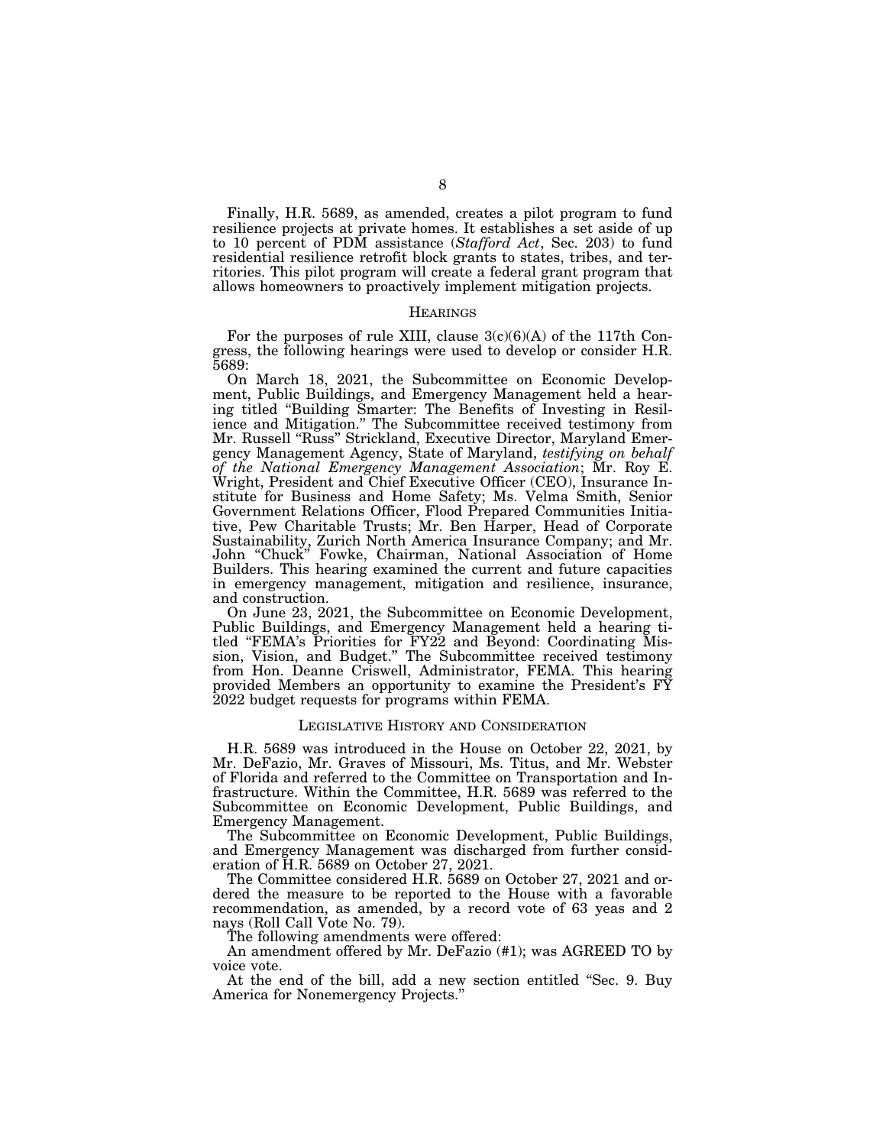Finally, H.R. 5689, as amended, creates a pilot program to fund resilience projects at private homes. It establishes a set aside of up to 10 percent of PDM assistance (*Stafford Act*, Sec. 203) to fund residential resilience retrofit block grants to states, tribes, and territories. This pilot program will create a federal grant program that allows homeowners to proactively implement mitigation projects.

#### **HEARINGS**

For the purposes of rule XIII, clause  $3(c)(6)(A)$  of the 117th Congress, the following hearings were used to develop or consider H.R. 5689:

On March 18, 2021, the Subcommittee on Economic Development, Public Buildings, and Emergency Management held a hearing titled ''Building Smarter: The Benefits of Investing in Resilience and Mitigation.'' The Subcommittee received testimony from Mr. Russell "Russ" Strickland, Executive Director, Maryland Emergency Management Agency, State of Maryland, *testifying on behalf of the National Emergency Management Association*; Mr. Roy E. Wright, President and Chief Executive Officer (CEO), Insurance Institute for Business and Home Safety; Ms. Velma Smith, Senior Government Relations Officer, Flood Prepared Communities Initiative, Pew Charitable Trusts; Mr. Ben Harper, Head of Corporate Sustainability, Zurich North America Insurance Company; and Mr. John ''Chuck'' Fowke, Chairman, National Association of Home Builders. This hearing examined the current and future capacities in emergency management, mitigation and resilience, insurance, and construction.

On June 23, 2021, the Subcommittee on Economic Development, Public Buildings, and Emergency Management held a hearing titled ''FEMA's Priorities for FY22 and Beyond: Coordinating Mission, Vision, and Budget.'' The Subcommittee received testimony from Hon. Deanne Criswell, Administrator, FEMA. This hearing provided Members an opportunity to examine the President's FY 2022 budget requests for programs within FEMA.

#### LEGISLATIVE HISTORY AND CONSIDERATION

H.R. 5689 was introduced in the House on October 22, 2021, by Mr. DeFazio, Mr. Graves of Missouri, Ms. Titus, and Mr. Webster of Florida and referred to the Committee on Transportation and Infrastructure. Within the Committee, H.R. 5689 was referred to the Subcommittee on Economic Development, Public Buildings, and Emergency Management.

The Subcommittee on Economic Development, Public Buildings, and Emergency Management was discharged from further consideration of H.R. 5689 on October 27, 2021.

The Committee considered H.R. 5689 on October 27, 2021 and ordered the measure to be reported to the House with a favorable recommendation, as amended, by a record vote of 63 yeas and 2 nays (Roll Call Vote No. 79).

The following amendments were offered:

An amendment offered by Mr. DeFazio (#1); was AGREED TO by voice vote.

At the end of the bill, add a new section entitled ''Sec. 9. Buy America for Nonemergency Projects.''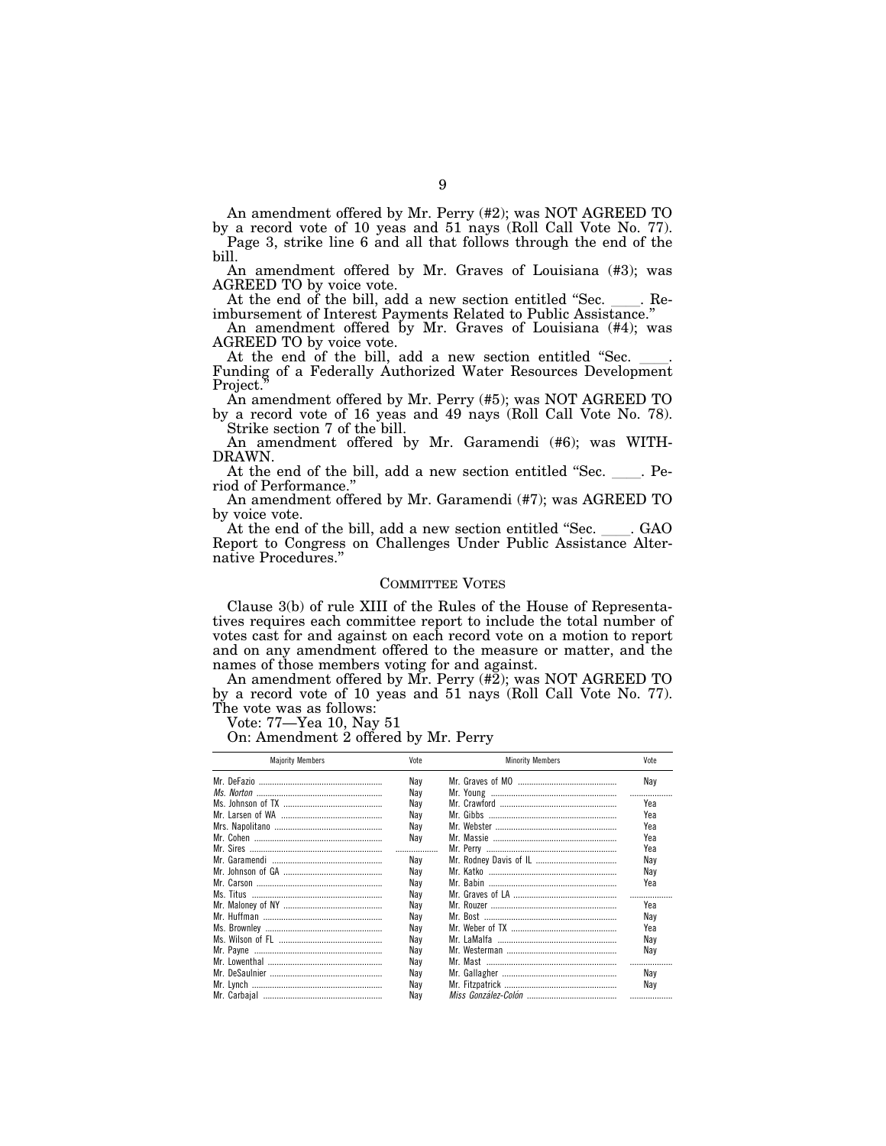An amendment offered by Mr. Perry (#2); was NOT AGREED TO

by a record vote of 10 yeas and 51 nays (Roll Call Vote No. 77). Page 3, strike line 6 and all that follows through the end of the bill.

An amendment offered by Mr. Graves of Louisiana (#3); was AGREED TO by voice vote.

At the end of the bill, add a new section entitled "Sec. \_\_\_\_. Reimbursement of Interest Payments Related to Public Assistance.''

An amendment offered by Mr. Graves of Louisiana (#4); was AGREED TO by voice vote.<br>At the end of the bill, add a new section entitled "Sec.

Funding of a Federally Authorized Water Resources Development Project.

An amendment offered by Mr. Perry (#5); was NOT AGREED TO by a record vote of 16 yeas and 49 nays (Roll Call Vote No. 78).

Strike section 7 of the bill. An amendment offered by Mr. Garamendi (#6); was WITH-DRAWN.

At the end of the bill, add a new section entitled "Sec. Period of Performance.''

An amendment offered by Mr. Garamendi (#7); was AGREED TO by voice vote.

At the end of the bill, add a new section entitled "Sec. \_\_\_\_. GAO Report to Congress on Challenges Under Public Assistance Alternative Procedures.''

## COMMITTEE VOTES

Clause 3(b) of rule XIII of the Rules of the House of Representatives requires each committee report to include the total number of votes cast for and against on each record vote on a motion to report and on any amendment offered to the measure or matter, and the names of those members voting for and against.

An amendment offered by Mr. Perry (#2); was NOT AGREED TO by a record vote of 10 yeas and 51 nays (Roll Call Vote No. 77). The vote was as follows:

Vote: 77—Yea 10, Nay 51

On: Amendment 2 offered by Mr. Perry

| <b>Majority Members</b> | Vote | <b>Minority Members</b> | Vote |
|-------------------------|------|-------------------------|------|
|                         | Nav  |                         | Nay  |
|                         | Nav  |                         | .    |
|                         | Nav  |                         | Yea  |
|                         | Nav  |                         | Yea  |
|                         | Nav  |                         | Yea  |
|                         | Nav  |                         | Yea  |
|                         |      |                         | Yea  |
|                         | Nav  |                         | Nav  |
|                         | Nav  |                         | Nay  |
|                         | Nav  |                         | Yea  |
|                         | Nav  |                         |      |
|                         | Nav  |                         | Yea  |
|                         | Nav  |                         | Nav  |
|                         | Nav  |                         | Үеа  |
|                         | Nav  |                         | Nav  |
|                         | Nav  |                         | Nay  |
|                         | Nav  |                         |      |
|                         | Nav  |                         | Nav  |
|                         | Nay  |                         | Nay  |
|                         | Nav  |                         |      |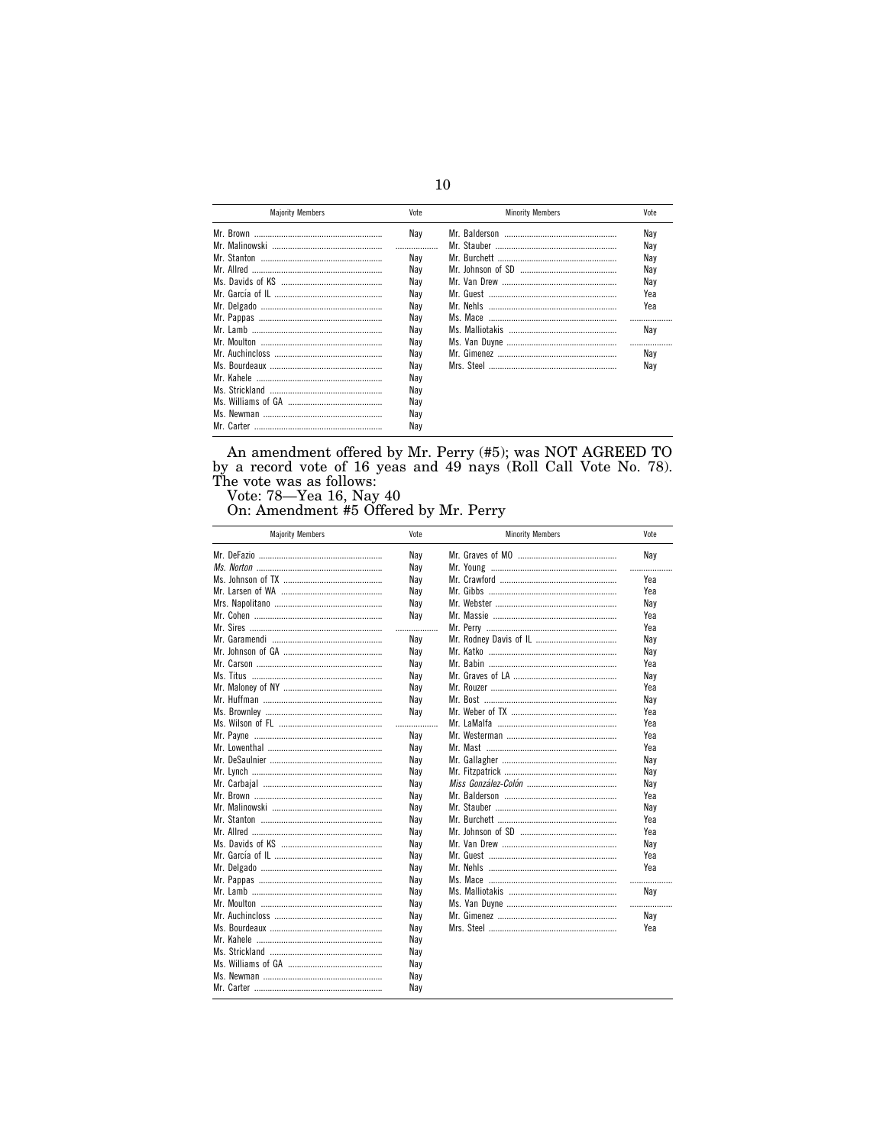| <b>Majority Members</b> | Vote | <b>Minority Members</b> | Vote |
|-------------------------|------|-------------------------|------|
|                         | Nav  |                         | Nav  |
|                         |      |                         | Nav  |
|                         | Nav  |                         | Nav  |
|                         | Nav  |                         | Nav  |
|                         | Nav  |                         | Nav  |
|                         | Nav  |                         | Yea  |
|                         | Nav  | Mr Nehls                | Yea  |
|                         | Nav  |                         |      |
|                         | Nav  |                         | Nav  |
|                         | Nav  |                         |      |
|                         | Nay  |                         | Nav  |
|                         | Nav  |                         | Nay  |
|                         | Nav  |                         |      |
|                         | Nav  |                         |      |
|                         | Nav  |                         |      |
|                         | Nav  |                         |      |
|                         | Nay  |                         |      |

An amendment offered by Mr. Perry  $(\#5)$ ; was NOT AGREED TO by a record vote of 16 yeas and 49 nays (Roll Call Vote No. 78). The vote was as follows:<br>Vote: 78—Yea 16, Nay 40 On: Amendment #5 Offered by Mr. Perry

| <b>Majority Members</b> | Vote | <b>Minority Members</b> | Vote |
|-------------------------|------|-------------------------|------|
|                         | Nay  |                         | Nay  |
|                         | Nay  |                         |      |
|                         | Nav  |                         | Yea  |
|                         | Nay  |                         | Yea  |
|                         | Nay  |                         | Nav  |
|                         | Nay  |                         | Yea  |
|                         | .    |                         | Yea  |
|                         | Nay  |                         | Nay  |
|                         | Nay  |                         | Nay  |
|                         | Nay  |                         | Yea  |
|                         | Nay  |                         | Nay  |
|                         | Nay  |                         | Yea  |
|                         | Nay  |                         | Nav  |
|                         | Nay  |                         | Yea  |
|                         | .    |                         | Yea  |
|                         | Nav  |                         | Yea  |
|                         | Nay  |                         | Yea  |
|                         | Nay  |                         | Nav  |
|                         | Nay  |                         | Nay  |
|                         | Nay  |                         | Nay  |
|                         | Nay  |                         | Yea  |
|                         | Nay  |                         | Nay  |
|                         | Nay  |                         | Yea  |
|                         | Nay  |                         | Yea  |
|                         | Nay  |                         | Nay  |
|                         | Nay  |                         | Yea  |
|                         | Nay  |                         | Yea  |
|                         | Nay  |                         | .    |
|                         | Nay  |                         | Nav  |
|                         | Nay  |                         | .    |
|                         | Nay  |                         | Nay  |
|                         | Nay  |                         | Yea  |
|                         | Nay  |                         |      |
|                         | Nay  |                         |      |
|                         | Nay  |                         |      |
|                         | Nay  |                         |      |
|                         | Nay  |                         |      |
|                         |      |                         |      |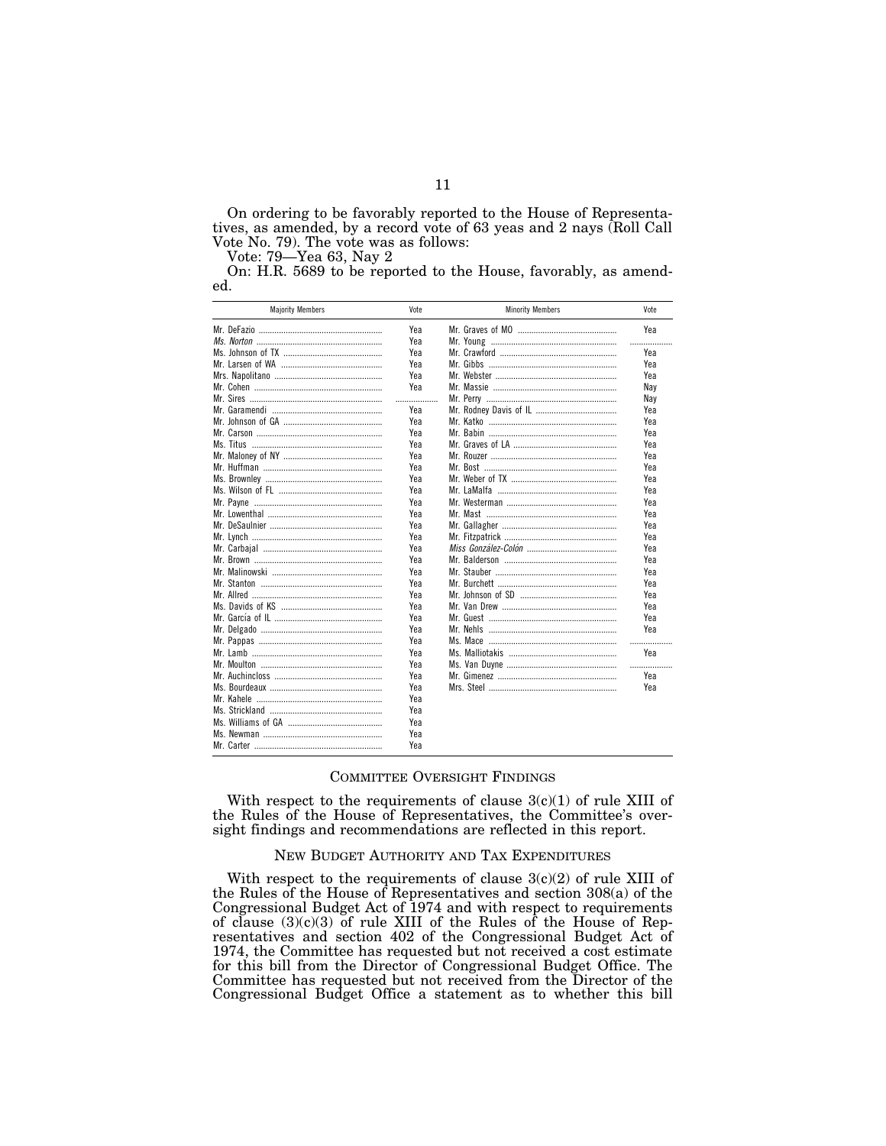On ordering to be favorably reported to the House of Representatives, as amended, by a record vote of 63 yeas and 2 nays (Roll Call Vote No. 79). The vote was as follows:

Vote: 79—Yea 63, Nay 2

On: H.R. 5689 to be reported to the House, favorably, as amended.

| <b>Majority Members</b> | Vote | <b>Minority Members</b> | Vote |
|-------------------------|------|-------------------------|------|
|                         | Yea  |                         | Yea  |
|                         | Yea  |                         | .    |
|                         | Yea  |                         | Yea  |
|                         | Yea  |                         | Yea  |
|                         | Yea  |                         | Yea  |
|                         | Yea  |                         | Nay  |
|                         | .    |                         | Nay  |
|                         | Yea  |                         | Yea  |
|                         | Yea  |                         | Yea  |
|                         | Yea  |                         | Yea  |
|                         | Yea  |                         | Yea  |
|                         | Yea  |                         | Yea  |
|                         | Yea  |                         | Yea  |
|                         | Yea  |                         | Yea  |
|                         | Yea  |                         | Yea  |
|                         | Yea  |                         | Yea  |
|                         | Yea  |                         | Yea  |
|                         | Yea  |                         | Yea  |
|                         | Yea  |                         | Yea  |
|                         | Yea  |                         | Yea  |
|                         | Үеа  |                         | Yea  |
|                         | Yea  |                         | Yea  |
|                         | Yea  |                         | Yea  |
|                         | Yea  |                         | Yea  |
|                         | Yea  |                         | Yea  |
|                         | Yea  |                         | Yea  |
|                         | Yea  |                         | Yea  |
|                         | Yea  |                         | .    |
|                         | Yea  |                         | Yea  |
|                         | Yea  |                         | .    |
|                         | Yea  |                         | Yea  |
|                         | Yea  |                         | Yea  |
|                         | Yea  |                         |      |
|                         | Yea  |                         |      |
|                         | Yea  |                         |      |
|                         | Yea  |                         |      |
|                         | Yea  |                         |      |
|                         |      |                         |      |

## COMMITTEE OVERSIGHT FINDINGS

With respect to the requirements of clause  $3(c)(1)$  of rule XIII of the Rules of the House of Representatives, the Committee's oversight findings and recommendations are reflected in this report.

#### NEW BUDGET AUTHORITY AND TAX EXPENDITURES

With respect to the requirements of clause  $3(c)(2)$  of rule XIII of the Rules of the House of Representatives and section 308(a) of the Congressional Budget Act of 1974 and with respect to requirements of clause  $(3)(c)(3)$  of rule XIII of the Rules of the House of Representatives and section 402 of the Congressional Budget Act of 1974, the Committee has requested but not received a cost estimate for this bill from the Director of Congressional Budget Office. The Committee has requested but not received from the Director of the Congressional Budget Office a statement as to whether this bill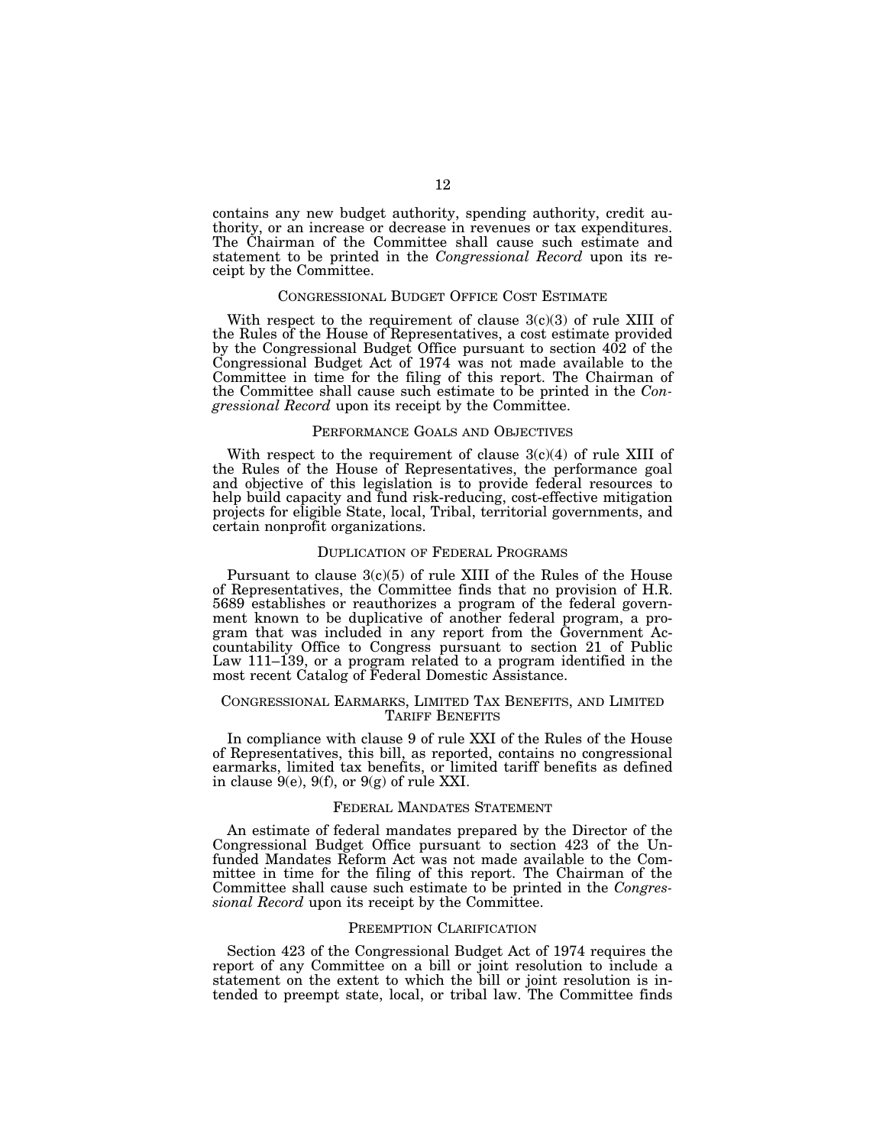contains any new budget authority, spending authority, credit authority, or an increase or decrease in revenues or tax expenditures. The Chairman of the Committee shall cause such estimate and statement to be printed in the *Congressional Record* upon its receipt by the Committee.

# CONGRESSIONAL BUDGET OFFICE COST ESTIMATE

With respect to the requirement of clause  $3(c)(3)$  of rule XIII of the Rules of the House of Representatives, a cost estimate provided by the Congressional Budget Office pursuant to section 402 of the Congressional Budget Act of 1974 was not made available to the Committee in time for the filing of this report. The Chairman of the Committee shall cause such estimate to be printed in the *Congressional Record* upon its receipt by the Committee.

#### PERFORMANCE GOALS AND OBJECTIVES

With respect to the requirement of clause  $3(c)(4)$  of rule XIII of the Rules of the House of Representatives, the performance goal and objective of this legislation is to provide federal resources to help build capacity and fund risk-reducing, cost-effective mitigation projects for eligible State, local, Tribal, territorial governments, and certain nonprofit organizations.

#### DUPLICATION OF FEDERAL PROGRAMS

Pursuant to clause  $3(c)(5)$  of rule XIII of the Rules of the House of Representatives, the Committee finds that no provision of H.R. 5689 establishes or reauthorizes a program of the federal government known to be duplicative of another federal program, a program that was included in any report from the Government Accountability Office to Congress pursuant to section 21 of Public Law 111–139, or a program related to a program identified in the most recent Catalog of Federal Domestic Assistance.

## CONGRESSIONAL EARMARKS, LIMITED TAX BENEFITS, AND LIMITED TARIFF BENEFITS

In compliance with clause 9 of rule XXI of the Rules of the House of Representatives, this bill, as reported, contains no congressional earmarks, limited tax benefits, or limited tariff benefits as defined in clause  $9(e)$ ,  $9(f)$ , or  $9(g)$  of rule XXI.

#### FEDERAL MANDATES STATEMENT

An estimate of federal mandates prepared by the Director of the Congressional Budget Office pursuant to section 423 of the Unfunded Mandates Reform Act was not made available to the Committee in time for the filing of this report. The Chairman of the Committee shall cause such estimate to be printed in the *Congressional Record* upon its receipt by the Committee.

#### PREEMPTION CLARIFICATION

Section 423 of the Congressional Budget Act of 1974 requires the report of any Committee on a bill or joint resolution to include a statement on the extent to which the bill or joint resolution is intended to preempt state, local, or tribal law. The Committee finds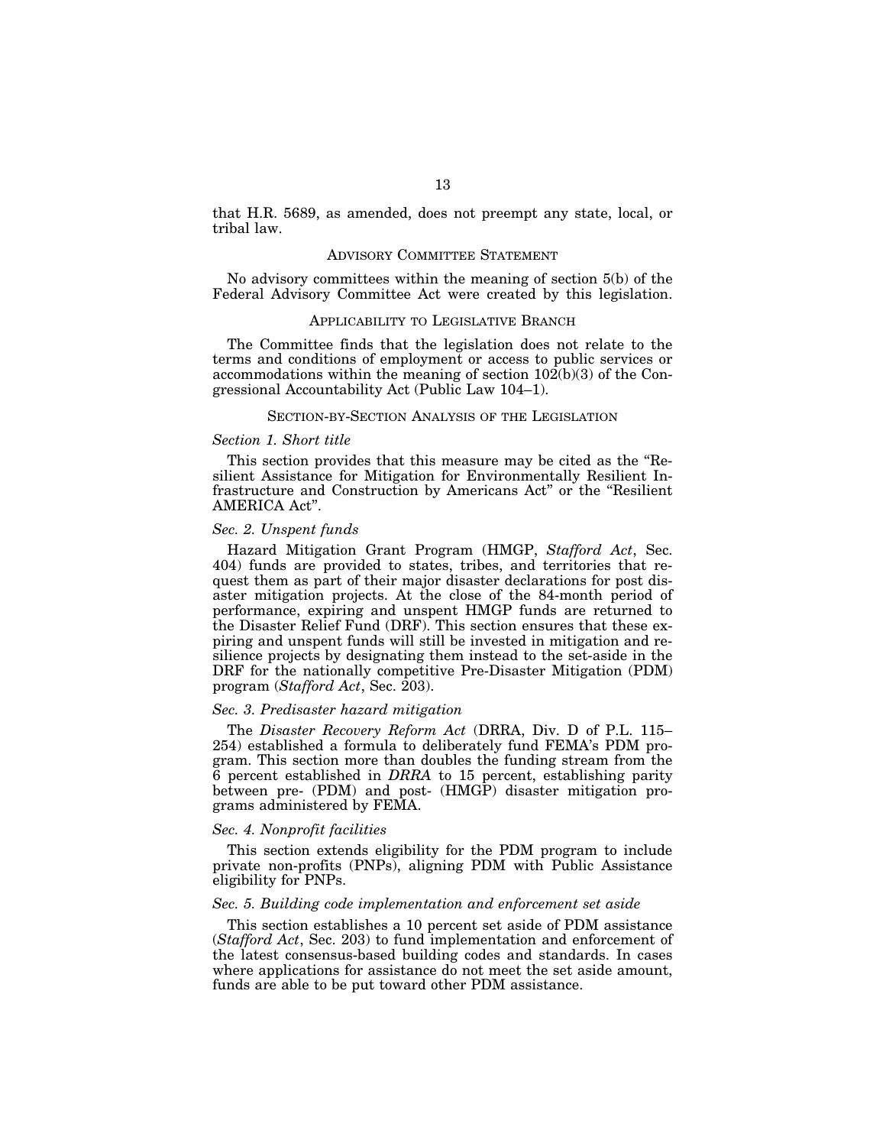that H.R. 5689, as amended, does not preempt any state, local, or tribal law.

#### ADVISORY COMMITTEE STATEMENT

No advisory committees within the meaning of section 5(b) of the Federal Advisory Committee Act were created by this legislation.

## APPLICABILITY TO LEGISLATIVE BRANCH

The Committee finds that the legislation does not relate to the terms and conditions of employment or access to public services or accommodations within the meaning of section 102(b)(3) of the Congressional Accountability Act (Public Law 104–1).

#### SECTION-BY-SECTION ANALYSIS OF THE LEGISLATION

## *Section 1. Short title*

This section provides that this measure may be cited as the ''Resilient Assistance for Mitigation for Environmentally Resilient Infrastructure and Construction by Americans Act'' or the ''Resilient AMERICA Act''.

#### *Sec. 2. Unspent funds*

Hazard Mitigation Grant Program (HMGP, *Stafford Act*, Sec. 404) funds are provided to states, tribes, and territories that request them as part of their major disaster declarations for post disaster mitigation projects. At the close of the 84-month period of performance, expiring and unspent HMGP funds are returned to the Disaster Relief Fund (DRF). This section ensures that these expiring and unspent funds will still be invested in mitigation and resilience projects by designating them instead to the set-aside in the DRF for the nationally competitive Pre-Disaster Mitigation (PDM) program (*Stafford Act*, Sec. 203).

## *Sec. 3. Predisaster hazard mitigation*

The *Disaster Recovery Reform Act* (DRRA, Div. D of P.L. 115– 254) established a formula to deliberately fund FEMA's PDM program. This section more than doubles the funding stream from the 6 percent established in *DRRA* to 15 percent, establishing parity between pre- (PDM) and post- (HMGP) disaster mitigation programs administered by FEMA.

### *Sec. 4. Nonprofit facilities*

This section extends eligibility for the PDM program to include private non-profits (PNPs), aligning PDM with Public Assistance eligibility for PNPs.

## *Sec. 5. Building code implementation and enforcement set aside*

This section establishes a 10 percent set aside of PDM assistance (*Stafford Act*, Sec. 203) to fund implementation and enforcement of the latest consensus-based building codes and standards. In cases where applications for assistance do not meet the set aside amount, funds are able to be put toward other PDM assistance.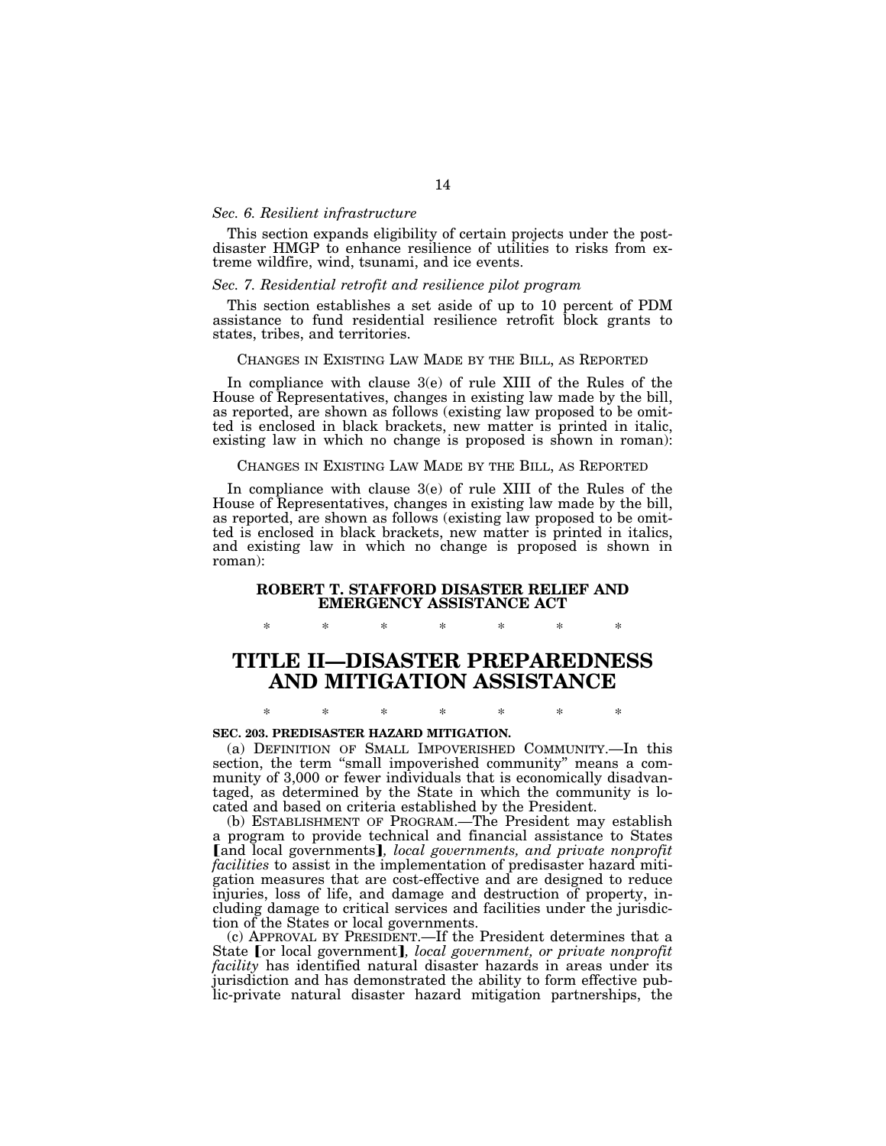#### *Sec. 6. Resilient infrastructure*

This section expands eligibility of certain projects under the postdisaster HMGP to enhance resilience of utilities to risks from extreme wildfire, wind, tsunami, and ice events.

## *Sec. 7. Residential retrofit and resilience pilot program*

This section establishes a set aside of up to 10 percent of PDM assistance to fund residential resilience retrofit block grants to states, tribes, and territories.

#### CHANGES IN EXISTING LAW MADE BY THE BILL, AS REPORTED

In compliance with clause 3(e) of rule XIII of the Rules of the House of Representatives, changes in existing law made by the bill, as reported, are shown as follows (existing law proposed to be omitted is enclosed in black brackets, new matter is printed in italic, existing law in which no change is proposed is shown in roman):

## CHANGES IN EXISTING LAW MADE BY THE BILL, AS REPORTED

In compliance with clause 3(e) of rule XIII of the Rules of the House of Representatives, changes in existing law made by the bill, as reported, are shown as follows (existing law proposed to be omitted is enclosed in black brackets, new matter is printed in italics, and existing law in which no change is proposed is shown in roman):

# **ROBERT T. STAFFORD DISASTER RELIEF AND EMERGENCY ASSISTANCE ACT**

\* \* \* \* \* \* \*

# **TITLE II—DISASTER PREPAREDNESS AND MITIGATION ASSISTANCE**

# \* \* \* \* \* \* \* **SEC. 203. PREDISASTER HAZARD MITIGATION.**

(a) DEFINITION OF SMALL IMPOVERISHED COMMUNITY.—In this section, the term "small impoverished community" means a community of 3,000 or fewer individuals that is economically disadvantaged, as determined by the State in which the community is located and based on criteria established by the President.

(b) ESTABLISHMENT OF PROGRAM.—The President may establish a program to provide technical and financial assistance to States [and local governments], *local governments*, and private nonprofit *facilities* to assist in the implementation of predisaster hazard mitigation measures that are cost-effective and are designed to reduce injuries, loss of life, and damage and destruction of property, including damage to critical services and facilities under the jurisdiction of the States or local governments.

(c) APPROVAL BY PRESIDENT.—If the President determines that a State [or local government], *local government, or private nonprofit facility* has identified natural disaster hazards in areas under its jurisdiction and has demonstrated the ability to form effective public-private natural disaster hazard mitigation partnerships, the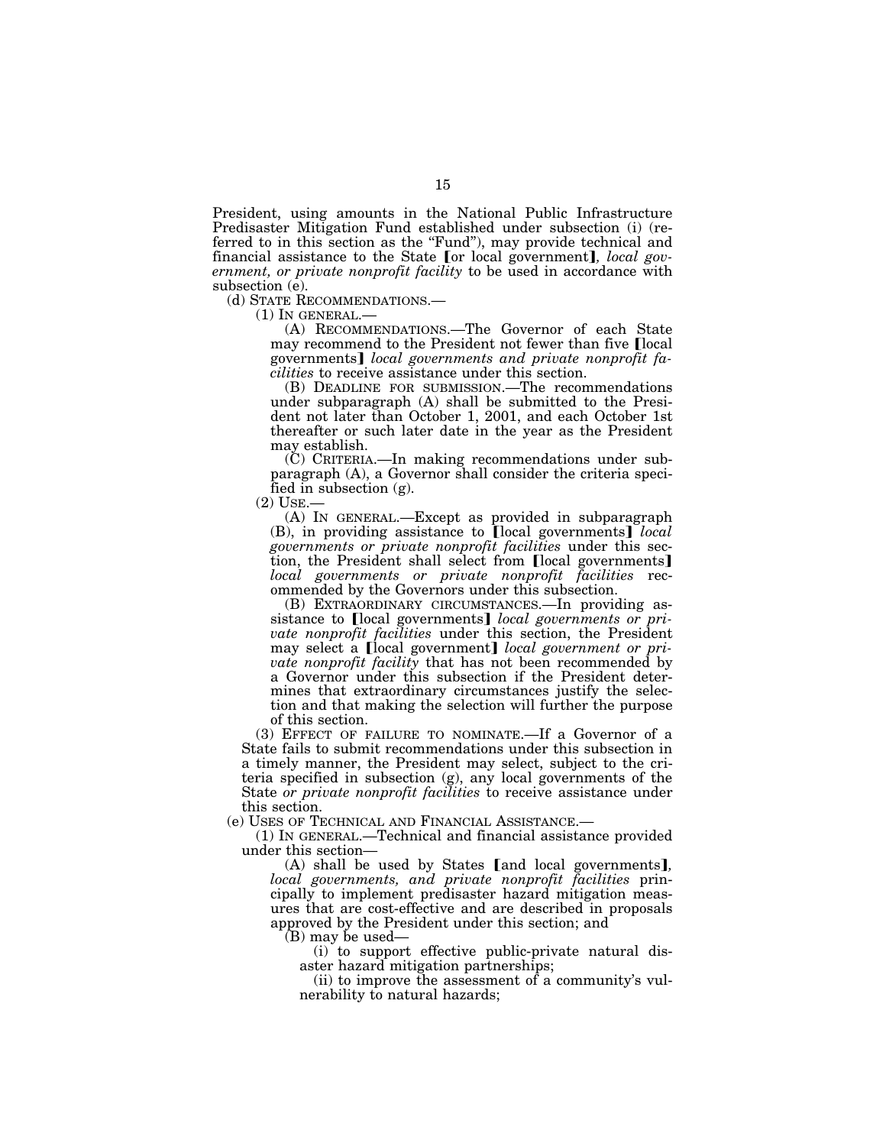President, using amounts in the National Public Infrastructure Predisaster Mitigation Fund established under subsection (i) (referred to in this section as the "Fund"), may provide technical and financial assistance to the State [or local government], *local government, or private nonprofit facility* to be used in accordance with subsection (e).

(d) STATE RECOMMENDATIONS.—<br>
(1) IN GENERAL.—<br>
(A) RECOMMENDATIONS.—The Governor of each State may recommend to the President not fewer than five Ilocal governments¿ *local governments and private nonprofit facilities* to receive assistance under this section.

(B) DEADLINE FOR SUBMISSION.—The recommendations under subparagraph (A) shall be submitted to the President not later than October 1, 2001, and each October 1st thereafter or such later date in the year as the President may establish.

(C) CRITERIA.—In making recommendations under subparagraph (A), a Governor shall consider the criteria specified in subsection (g).

(2) USE.— (A) IN GENERAL.—Except as provided in subparagraph (B), in providing assistance to [local governments] *local governments or private nonprofit facilities* under this section, the President shall select from [local governments] *local governments or private nonprofit facilities* recommended by the Governors under this subsection.

(B) EXTRAORDINARY CIRCUMSTANCES.—In providing assistance to [local governments] *local governments or private nonprofit facilities* under this section, the President may select a local government *local government or private nonprofit facility* that has not been recommended by a Governor under this subsection if the President determines that extraordinary circumstances justify the selection and that making the selection will further the purpose of this section.

(3) EFFECT OF FAILURE TO NOMINATE.—If a Governor of a State fails to submit recommendations under this subsection in a timely manner, the President may select, subject to the criteria specified in subsection (g), any local governments of the State *or private nonprofit facilities* to receive assistance under this section.

(e) USES OF TECHNICAL AND FINANCIAL ASSISTANCE.—

(1) IN GENERAL.—Technical and financial assistance provided under this section—

(A) shall be used by States [and local governments], *local governments, and private nonprofit facilities* principally to implement predisaster hazard mitigation measures that are cost-effective and are described in proposals approved by the President under this section; and

(B) may be used—

(i) to support effective public-private natural disaster hazard mitigation partnerships;

(ii) to improve the assessment of a community's vulnerability to natural hazards;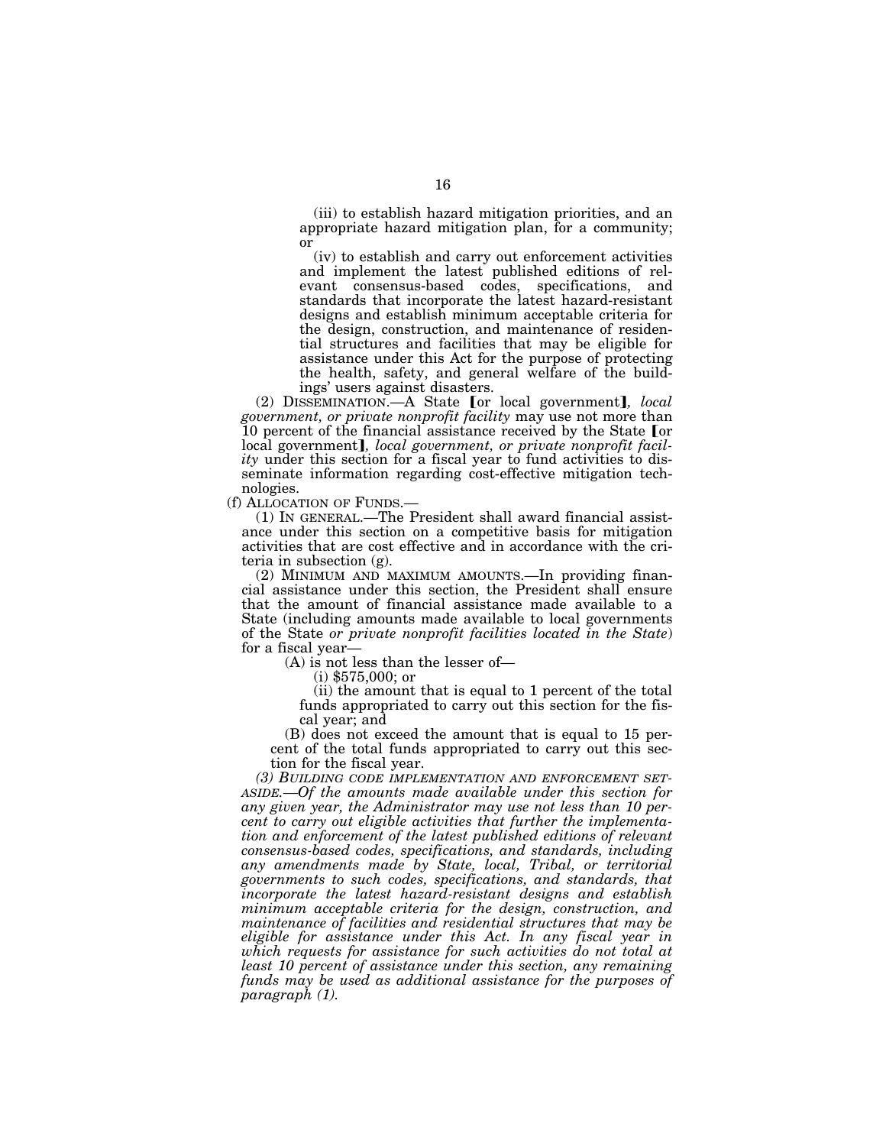(iii) to establish hazard mitigation priorities, and an appropriate hazard mitigation plan, for a community; or

(iv) to establish and carry out enforcement activities and implement the latest published editions of relevant consensus-based codes, specifications, and standards that incorporate the latest hazard-resistant designs and establish minimum acceptable criteria for the design, construction, and maintenance of residential structures and facilities that may be eligible for assistance under this Act for the purpose of protecting the health, safety, and general welfare of the buildings' users against disasters.

(2) DISSEMINATION.—A State [or local government], *local government, or private nonprofit facility* may use not more than 10 percent of the financial assistance received by the State [or local government], *local government*, or *private nonprofit facility* under this section for a fiscal year to fund activities to disseminate information regarding cost-effective mitigation technologies.

(f) ALLOCATION OF FUNDS.— (1) IN GENERAL.—The President shall award financial assistance under this section on a competitive basis for mitigation activities that are cost effective and in accordance with the criteria in subsection (g).

(2) MINIMUM AND MAXIMUM AMOUNTS.—In providing financial assistance under this section, the President shall ensure that the amount of financial assistance made available to a State (including amounts made available to local governments of the State *or private nonprofit facilities located in the State*) for a fiscal year—

(A) is not less than the lesser of—

(i) \$575,000; or

(ii) the amount that is equal to 1 percent of the total funds appropriated to carry out this section for the fiscal year; and

(B) does not exceed the amount that is equal to 15 percent of the total funds appropriated to carry out this section for the fiscal year.

*(3) BUILDING CODE IMPLEMENTATION AND ENFORCEMENT SET-ASIDE.—Of the amounts made available under this section for any given year, the Administrator may use not less than 10 percent to carry out eligible activities that further the implementation and enforcement of the latest published editions of relevant consensus-based codes, specifications, and standards, including any amendments made by State, local, Tribal, or territorial governments to such codes, specifications, and standards, that incorporate the latest hazard-resistant designs and establish minimum acceptable criteria for the design, construction, and maintenance of facilities and residential structures that may be eligible for assistance under this Act. In any fiscal year in which requests for assistance for such activities do not total at least 10 percent of assistance under this section, any remaining funds may be used as additional assistance for the purposes of paragraph (1).*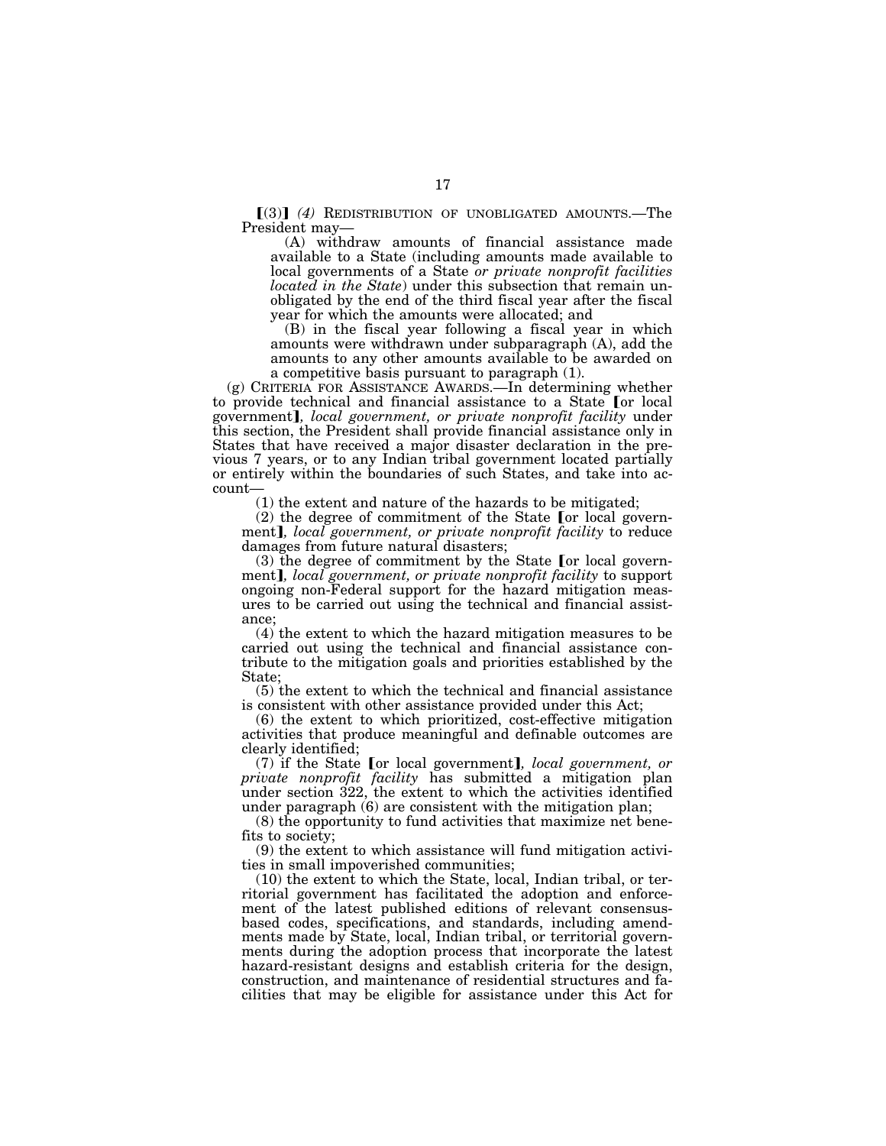$(3)$  (4) REDISTRIBUTION OF UNOBLIGATED AMOUNTS. The President may—

(A) withdraw amounts of financial assistance made available to a State (including amounts made available to local governments of a State *or private nonprofit facilities located in the State*) under this subsection that remain unobligated by the end of the third fiscal year after the fiscal year for which the amounts were allocated; and

(B) in the fiscal year following a fiscal year in which amounts were withdrawn under subparagraph (A), add the amounts to any other amounts available to be awarded on a competitive basis pursuant to paragraph (1).

(g) CRITERIA FOR ASSISTANCE AWARDS.—In determining whether to provide technical and financial assistance to a State [or local government¿*, local government, or private nonprofit facility* under this section, the President shall provide financial assistance only in States that have received a major disaster declaration in the previous 7 years, or to any Indian tribal government located partially or entirely within the boundaries of such States, and take into account—

(1) the extent and nature of the hazards to be mitigated;

 $(2)$  the degree of commitment of the State [or local government], local government, or private nonprofit facility to reduce damages from future natural disasters;

 $(3)$  the degree of commitment by the State for local government**]**, *local government, or private nonprofit facility* to support ongoing non-Federal support for the hazard mitigation measures to be carried out using the technical and financial assistance;

(4) the extent to which the hazard mitigation measures to be carried out using the technical and financial assistance contribute to the mitigation goals and priorities established by the State;

(5) the extent to which the technical and financial assistance is consistent with other assistance provided under this Act;

(6) the extent to which prioritized, cost-effective mitigation activities that produce meaningful and definable outcomes are clearly identified;

(7) if the State [or local government], *local government*, or *private nonprofit facility* has submitted a mitigation plan under section 322, the extent to which the activities identified under paragraph (6) are consistent with the mitigation plan;

(8) the opportunity to fund activities that maximize net benefits to society;

(9) the extent to which assistance will fund mitigation activities in small impoverished communities;

(10) the extent to which the State, local, Indian tribal, or territorial government has facilitated the adoption and enforcement of the latest published editions of relevant consensusbased codes, specifications, and standards, including amendments made by State, local, Indian tribal, or territorial governments during the adoption process that incorporate the latest hazard-resistant designs and establish criteria for the design, construction, and maintenance of residential structures and facilities that may be eligible for assistance under this Act for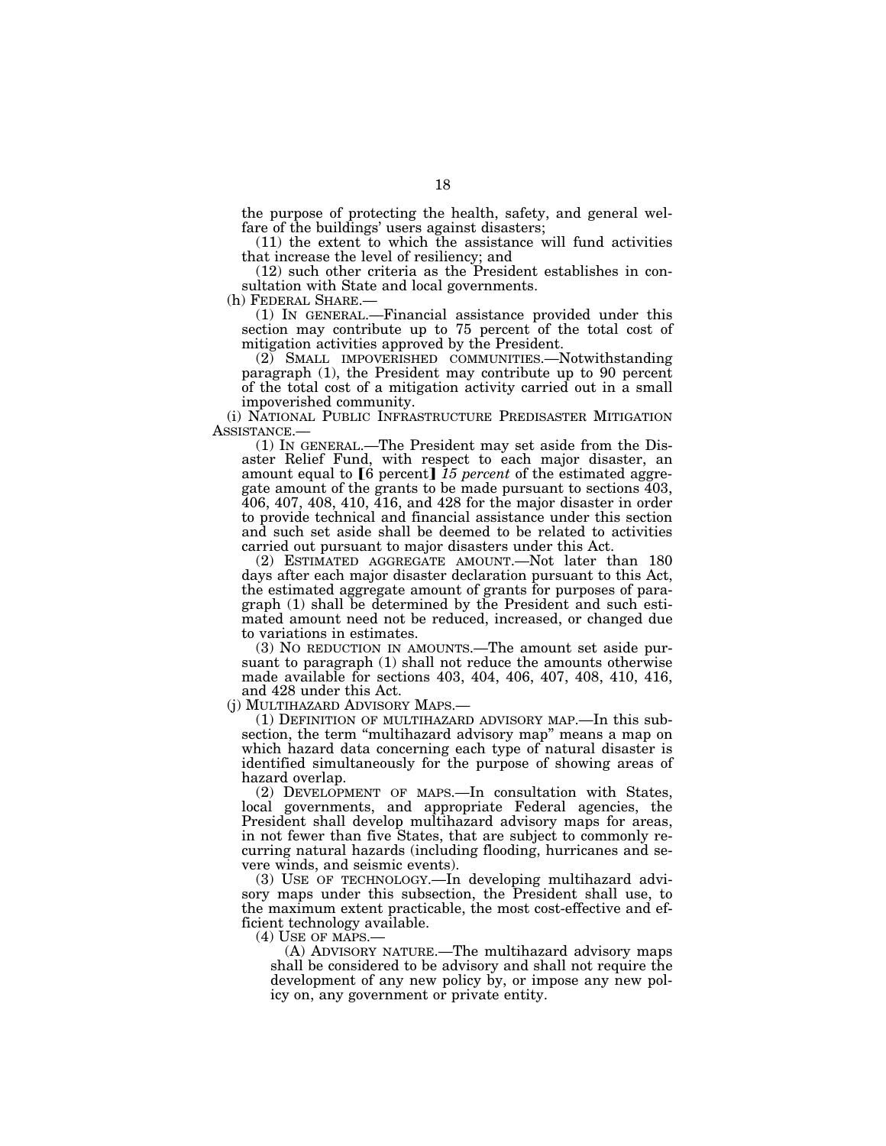the purpose of protecting the health, safety, and general welfare of the buildings' users against disasters;

(11) the extent to which the assistance will fund activities that increase the level of resiliency; and

(12) such other criteria as the President establishes in consultation with State and local governments.

(h) FEDERAL SHARE.—<br>(1) IN GENERAL.—Financial assistance provided under this section may contribute up to 75 percent of the total cost of mitigation activities approved by the President.

(2) SMALL IMPOVERISHED COMMUNITIES.—Notwithstanding paragraph (1), the President may contribute up to 90 percent of the total cost of a mitigation activity carried out in a small impoverished community.

(i) NATIONAL PUBLIC INFRASTRUCTURE PREDISASTER MITIGATION ASSISTANCE.—

(1) IN GENERAL.—The President may set aside from the Disaster Relief Fund, with respect to each major disaster, an amount equal to [6 percent] 15 percent of the estimated aggregate amount of the grants to be made pursuant to sections 403, 406, 407, 408, 410, 416, and 428 for the major disaster in order to provide technical and financial assistance under this section and such set aside shall be deemed to be related to activities carried out pursuant to major disasters under this Act.

(2) ESTIMATED AGGREGATE AMOUNT.—Not later than 180 days after each major disaster declaration pursuant to this Act, the estimated aggregate amount of grants for purposes of paragraph (1) shall be determined by the President and such estimated amount need not be reduced, increased, or changed due to variations in estimates.

(3) NO REDUCTION IN AMOUNTS.—The amount set aside pursuant to paragraph (1) shall not reduce the amounts otherwise made available for sections 403, 404, 406, 407, 408, 410, 416, and 428 under this Act.<br>(j) MULTIHAZARD ADVISORY MAPS.—

 $(1)$  DEFINITION OF MULTIHAZARD ADVISORY MAP.—In this subsection, the term "multihazard advisory map" means a map on which hazard data concerning each type of natural disaster is identified simultaneously for the purpose of showing areas of hazard overlap.

(2) DEVELOPMENT OF MAPS.—In consultation with States, local governments, and appropriate Federal agencies, the President shall develop multihazard advisory maps for areas, in not fewer than five States, that are subject to commonly recurring natural hazards (including flooding, hurricanes and severe winds, and seismic events).

(3) USE OF TECHNOLOGY.—In developing multihazard advisory maps under this subsection, the President shall use, to the maximum extent practicable, the most cost-effective and efficient technology available.<br>(4) USE OF MAPS.—

 $(A)$  ADVISORY NATURE.—The multihazard advisory maps shall be considered to be advisory and shall not require the development of any new policy by, or impose any new policy on, any government or private entity.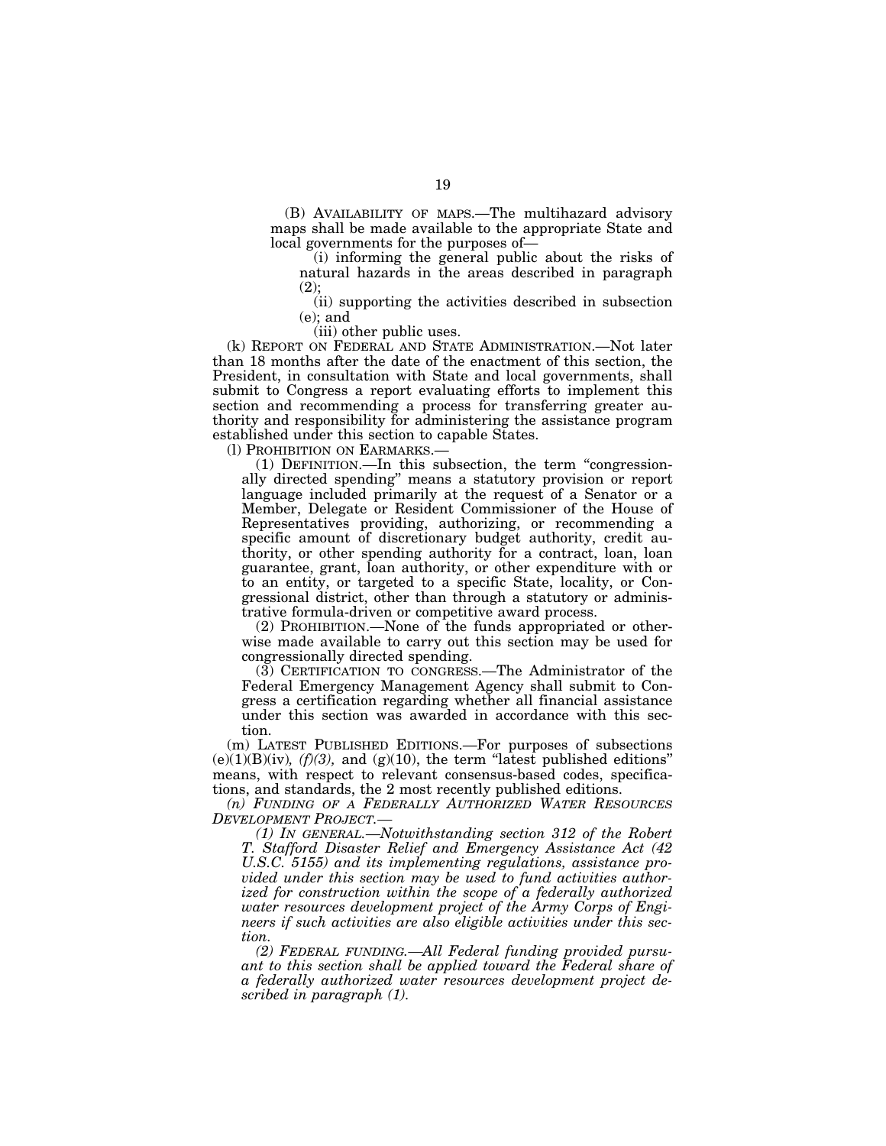(B) AVAILABILITY OF MAPS.—The multihazard advisory maps shall be made available to the appropriate State and local governments for the purposes of—

(i) informing the general public about the risks of natural hazards in the areas described in paragraph (2);

(ii) supporting the activities described in subsection (e); and

(iii) other public uses.

(k) REPORT ON FEDERAL AND STATE ADMINISTRATION.—Not later than 18 months after the date of the enactment of this section, the President, in consultation with State and local governments, shall submit to Congress a report evaluating efforts to implement this section and recommending a process for transferring greater authority and responsibility for administering the assistance program established under this section to capable States.

(l) PROHIBITION ON EARMARKS.—

(1) DEFINITION.—In this subsection, the term ''congressionally directed spending'' means a statutory provision or report language included primarily at the request of a Senator or a Member, Delegate or Resident Commissioner of the House of Representatives providing, authorizing, or recommending a specific amount of discretionary budget authority, credit authority, or other spending authority for a contract, loan, loan guarantee, grant, loan authority, or other expenditure with or to an entity, or targeted to a specific State, locality, or Congressional district, other than through a statutory or administrative formula-driven or competitive award process.

(2) PROHIBITION.—None of the funds appropriated or otherwise made available to carry out this section may be used for congressionally directed spending.

(3) CERTIFICATION TO CONGRESS.—The Administrator of the Federal Emergency Management Agency shall submit to Congress a certification regarding whether all financial assistance under this section was awarded in accordance with this section.

(m) LATEST PUBLISHED EDITIONS.—For purposes of subsections  $(e)(1)(B)(iv)$ ,  $(f)(3)$ , and  $(g)(10)$ , the term "latest published editions" means, with respect to relevant consensus-based codes, specifications, and standards, the 2 most recently published editions.

*(n) FUNDING OF A FEDERALLY AUTHORIZED WATER RESOURCES DEVELOPMENT PROJECT.—* 

*(1) IN GENERAL.—Notwithstanding section 312 of the Robert T. Stafford Disaster Relief and Emergency Assistance Act (42 U.S.C. 5155) and its implementing regulations, assistance provided under this section may be used to fund activities authorized for construction within the scope of a federally authorized water resources development project of the Army Corps of Engineers if such activities are also eligible activities under this section.* 

*(2) FEDERAL FUNDING.—All Federal funding provided pursuant to this section shall be applied toward the Federal share of a federally authorized water resources development project described in paragraph (1).*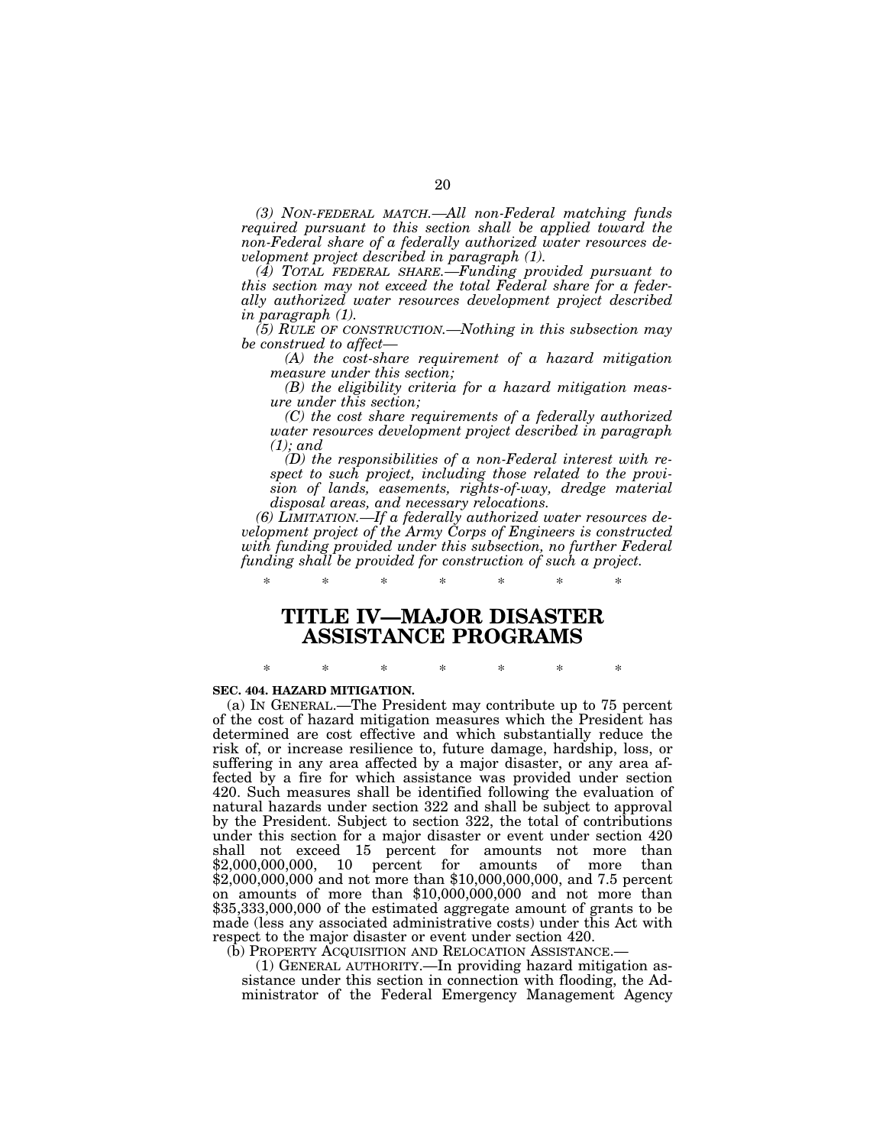*(3) NON-FEDERAL MATCH.—All non-Federal matching funds required pursuant to this section shall be applied toward the non-Federal share of a federally authorized water resources development project described in paragraph (1).* 

*(4) TOTAL FEDERAL SHARE.—Funding provided pursuant to this section may not exceed the total Federal share for a federally authorized water resources development project described in paragraph (1).* 

*(5) RULE OF CONSTRUCTION.—Nothing in this subsection may be construed to affect—* 

*(A) the cost-share requirement of a hazard mitigation measure under this section;* 

*(B) the eligibility criteria for a hazard mitigation measure under this section;* 

*(C) the cost share requirements of a federally authorized water resources development project described in paragraph (1); and* 

*(D) the responsibilities of a non-Federal interest with respect to such project, including those related to the provision of lands, easements, rights-of-way, dredge material disposal areas, and necessary relocations.* 

*(6) LIMITATION.—If a federally authorized water resources development project of the Army Corps of Engineers is constructed with funding provided under this subsection, no further Federal funding shall be provided for construction of such a project.* 

# **TITLE IV—MAJOR DISASTER ASSISTANCE PROGRAMS**

\* \* \* \* \* \* \*

\* \* \* \* \* \* \*

#### **SEC. 404. HAZARD MITIGATION.**

(a) IN GENERAL.—The President may contribute up to 75 percent of the cost of hazard mitigation measures which the President has determined are cost effective and which substantially reduce the risk of, or increase resilience to, future damage, hardship, loss, or suffering in any area affected by a major disaster, or any area affected by a fire for which assistance was provided under section 420. Such measures shall be identified following the evaluation of natural hazards under section 322 and shall be subject to approval by the President. Subject to section 322, the total of contributions under this section for a major disaster or event under section 420 shall not exceed 15 percent for amounts not more than \$2,000,000,000, 10 percent for amounts of more than \$2,000,000,000 and not more than \$10,000,000,000, and 7.5 percent on amounts of more than \$10,000,000,000 and not more than \$35,333,000,000 of the estimated aggregate amount of grants to be made (less any associated administrative costs) under this Act with respect to the major disaster or event under section 420.

(b) PROPERTY ACQUISITION AND RELOCATION ASSISTANCE.—

(1) GENERAL AUTHORITY.—In providing hazard mitigation assistance under this section in connection with flooding, the Administrator of the Federal Emergency Management Agency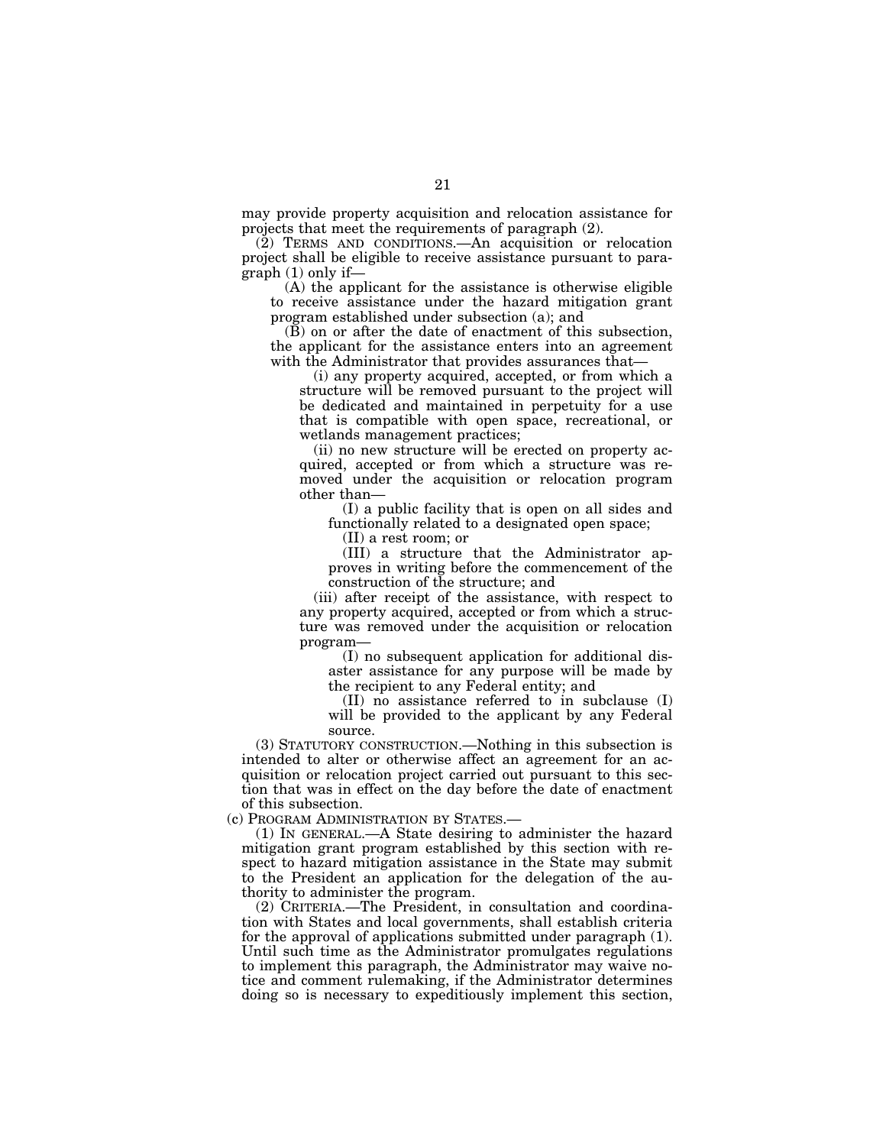may provide property acquisition and relocation assistance for projects that meet the requirements of paragraph (2).

(2) TERMS AND CONDITIONS.—An acquisition or relocation project shall be eligible to receive assistance pursuant to paragraph (1) only if—

(A) the applicant for the assistance is otherwise eligible to receive assistance under the hazard mitigation grant program established under subsection (a); and

(B) on or after the date of enactment of this subsection, the applicant for the assistance enters into an agreement with the Administrator that provides assurances that—

(i) any property acquired, accepted, or from which a structure will be removed pursuant to the project will be dedicated and maintained in perpetuity for a use that is compatible with open space, recreational, or wetlands management practices;

(ii) no new structure will be erected on property acquired, accepted or from which a structure was removed under the acquisition or relocation program other than—

(I) a public facility that is open on all sides and functionally related to a designated open space;

(II) a rest room; or

(III) a structure that the Administrator approves in writing before the commencement of the construction of the structure; and

(iii) after receipt of the assistance, with respect to any property acquired, accepted or from which a structure was removed under the acquisition or relocation program—

(I) no subsequent application for additional disaster assistance for any purpose will be made by the recipient to any Federal entity; and

(II) no assistance referred to in subclause (I) will be provided to the applicant by any Federal source.

(3) STATUTORY CONSTRUCTION.—Nothing in this subsection is intended to alter or otherwise affect an agreement for an acquisition or relocation project carried out pursuant to this section that was in effect on the day before the date of enactment of this subsection.

(c) PROGRAM ADMINISTRATION BY STATES.—

(1) IN GENERAL.—A State desiring to administer the hazard mitigation grant program established by this section with respect to hazard mitigation assistance in the State may submit to the President an application for the delegation of the authority to administer the program.

(2) CRITERIA.—The President, in consultation and coordination with States and local governments, shall establish criteria for the approval of applications submitted under paragraph (1). Until such time as the Administrator promulgates regulations to implement this paragraph, the Administrator may waive notice and comment rulemaking, if the Administrator determines doing so is necessary to expeditiously implement this section,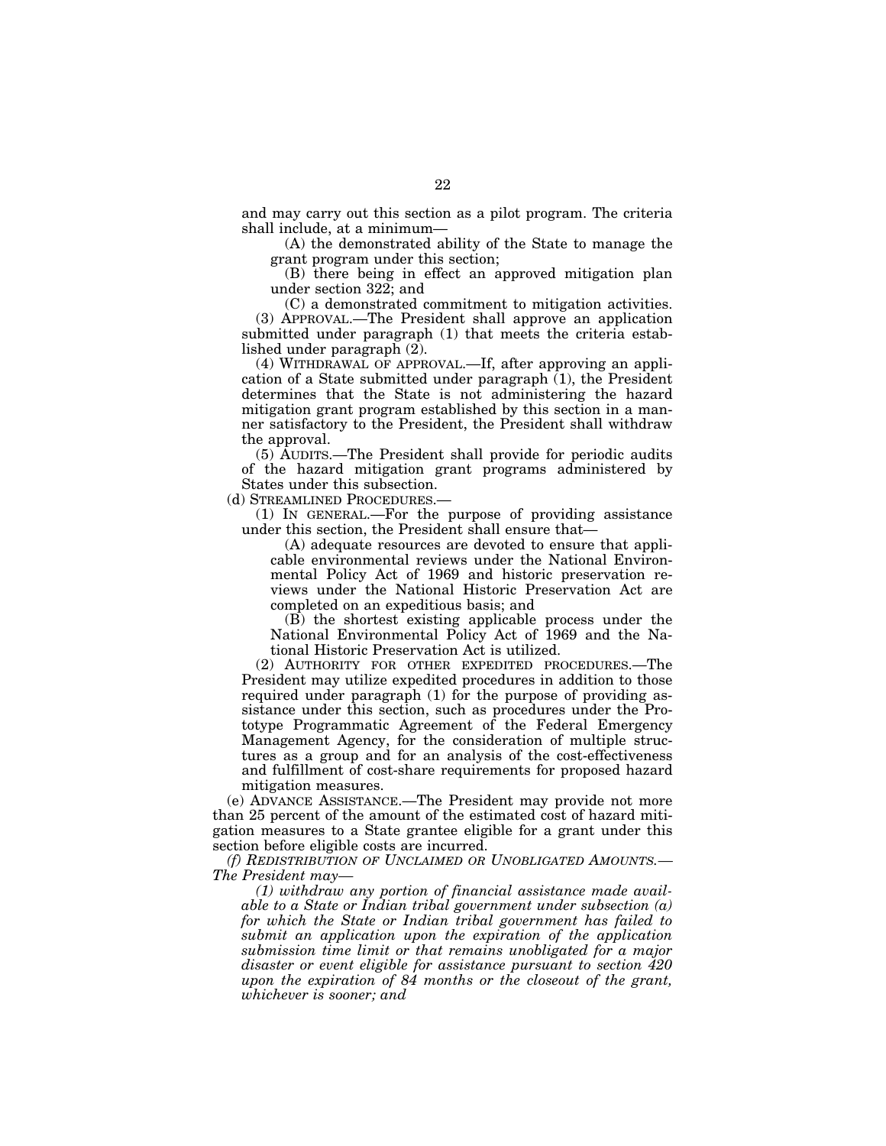and may carry out this section as a pilot program. The criteria shall include, at a minimum—

(A) the demonstrated ability of the State to manage the grant program under this section;

(B) there being in effect an approved mitigation plan under section 322; and

(C) a demonstrated commitment to mitigation activities. (3) APPROVAL.—The President shall approve an application submitted under paragraph (1) that meets the criteria established under paragraph (2).

(4) WITHDRAWAL OF APPROVAL.—If, after approving an application of a State submitted under paragraph (1), the President determines that the State is not administering the hazard mitigation grant program established by this section in a manner satisfactory to the President, the President shall withdraw the approval.

(5) AUDITS.—The President shall provide for periodic audits of the hazard mitigation grant programs administered by States under this subsection.

(d) STREAMLINED PROCEDURES.—

(1) IN GENERAL.—For the purpose of providing assistance under this section, the President shall ensure that—

(A) adequate resources are devoted to ensure that applicable environmental reviews under the National Environmental Policy Act of 1969 and historic preservation reviews under the National Historic Preservation Act are completed on an expeditious basis; and

(B) the shortest existing applicable process under the National Environmental Policy Act of 1969 and the National Historic Preservation Act is utilized.

(2) AUTHORITY FOR OTHER EXPEDITED PROCEDURES.—The President may utilize expedited procedures in addition to those required under paragraph (1) for the purpose of providing assistance under this section, such as procedures under the Prototype Programmatic Agreement of the Federal Emergency Management Agency, for the consideration of multiple structures as a group and for an analysis of the cost-effectiveness and fulfillment of cost-share requirements for proposed hazard mitigation measures.

(e) ADVANCE ASSISTANCE.—The President may provide not more than 25 percent of the amount of the estimated cost of hazard mitigation measures to a State grantee eligible for a grant under this section before eligible costs are incurred.

*(f) REDISTRIBUTION OF UNCLAIMED OR UNOBLIGATED AMOUNTS.— The President may—* 

*(1) withdraw any portion of financial assistance made available to a State or Indian tribal government under subsection (a) for which the State or Indian tribal government has failed to submit an application upon the expiration of the application submission time limit or that remains unobligated for a major disaster or event eligible for assistance pursuant to section 420 upon the expiration of 84 months or the closeout of the grant, whichever is sooner; and*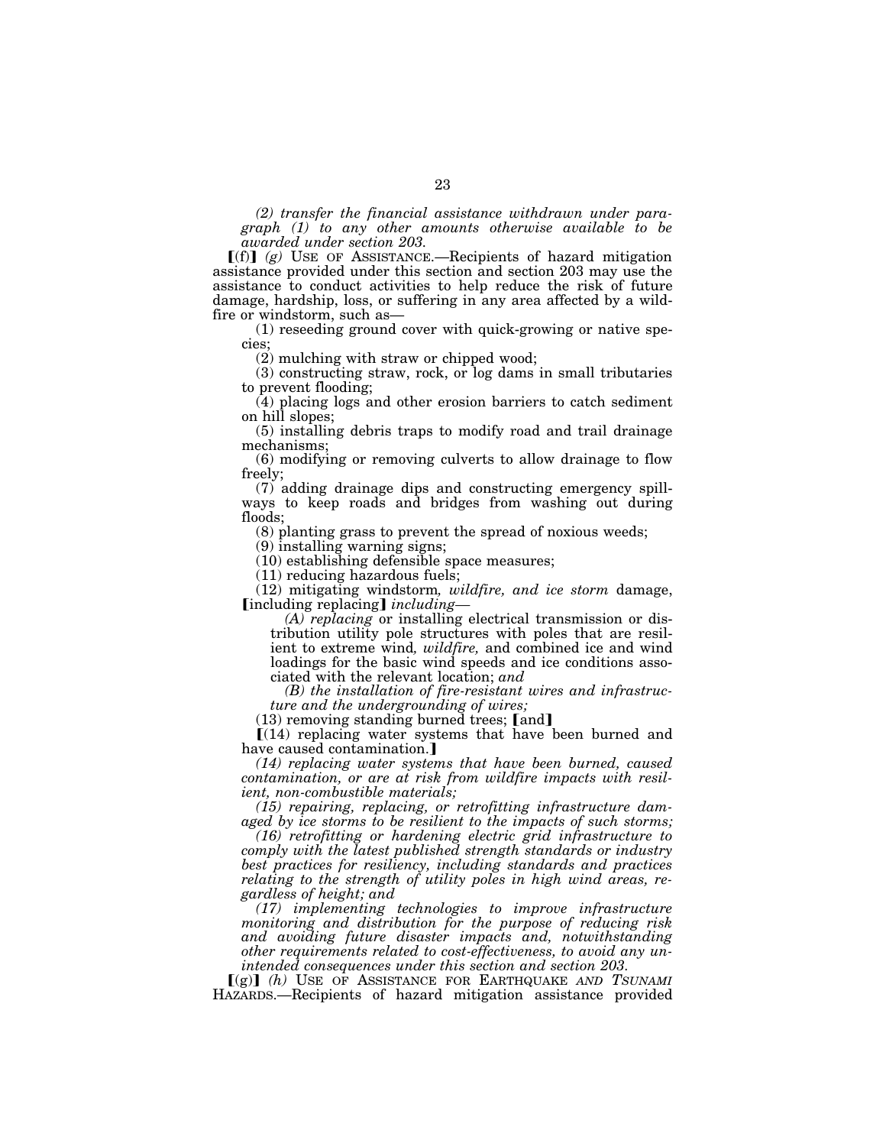*(2) transfer the financial assistance withdrawn under paragraph (1) to any other amounts otherwise available to be awarded under section 203.* 

 $\lceil f(n) \rceil$  (g) USE OF ASSISTANCE.—Recipients of hazard mitigation assistance provided under this section and section 203 may use the assistance to conduct activities to help reduce the risk of future damage, hardship, loss, or suffering in any area affected by a wildfire or windstorm, such as—

(1) reseeding ground cover with quick-growing or native species;

(2) mulching with straw or chipped wood;

(3) constructing straw, rock, or log dams in small tributaries to prevent flooding;

(4) placing logs and other erosion barriers to catch sediment on hill slopes;

(5) installing debris traps to modify road and trail drainage mechanisms;

(6) modifying or removing culverts to allow drainage to flow freely;

(7) adding drainage dips and constructing emergency spillways to keep roads and bridges from washing out during floods;

(8) planting grass to prevent the spread of noxious weeds;

(9) installing warning signs;

(10) establishing defensible space measures;

(11) reducing hazardous fuels;

(12) mitigating windstorm*, wildfire, and ice storm* damage, [including replacing] *including*-

*(A) replacing* or installing electrical transmission or distribution utility pole structures with poles that are resilient to extreme wind*, wildfire,* and combined ice and wind loadings for the basic wind speeds and ice conditions associated with the relevant location; *and* 

*(B) the installation of fire-resistant wires and infrastructure and the undergrounding of wires;* 

 $(13)$  removing standing burned trees; [and]

 $[(14)$  replacing water systems that have been burned and have caused contamination.]

*(14) replacing water systems that have been burned, caused contamination, or are at risk from wildfire impacts with resilient, non-combustible materials;* 

*(15) repairing, replacing, or retrofitting infrastructure damaged by ice storms to be resilient to the impacts of such storms;* 

*(16) retrofitting or hardening electric grid infrastructure to comply with the latest published strength standards or industry best practices for resiliency, including standards and practices relating to the strength of utility poles in high wind areas, regardless of height; and* 

*(17) implementing technologies to improve infrastructure monitoring and distribution for the purpose of reducing risk and avoiding future disaster impacts and, notwithstanding other requirements related to cost-effectiveness, to avoid any unintended consequences under this section and section 203.* 

ø(g)¿ *(h)* USE OF ASSISTANCE FOR EARTHQUAKE *AND TSUNAMI* HAZARDS.—Recipients of hazard mitigation assistance provided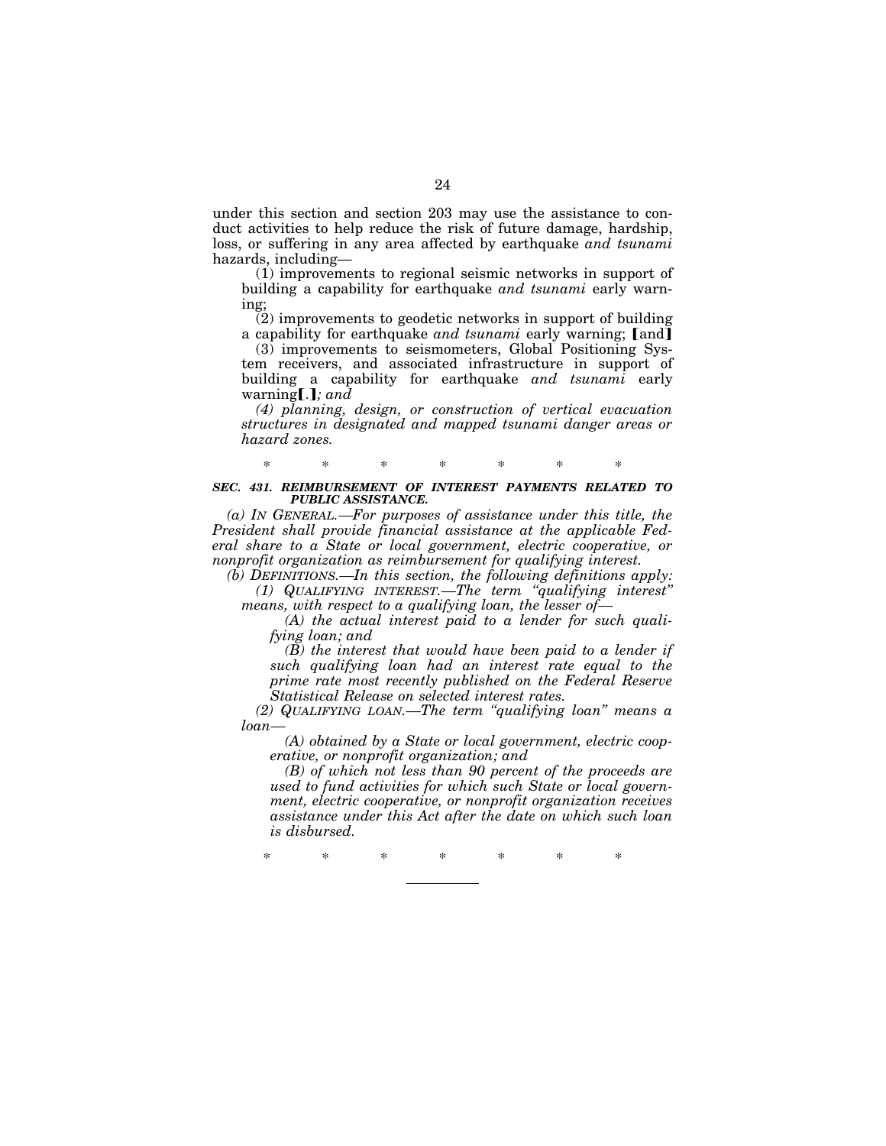under this section and section 203 may use the assistance to conduct activities to help reduce the risk of future damage, hardship, loss, or suffering in any area affected by earthquake *and tsunami*  hazards, including—

(1) improvements to regional seismic networks in support of building a capability for earthquake *and tsunami* early warning;

(2) improvements to geodetic networks in support of building a capability for earthquake *and tsunami* early warning; [and]

 $(3)$  improvements to seismometers, Global Positioning System receivers, and associated infrastructure in support of building a capability for earthquake *and tsunami* early warning  $\left[ . \right]$ *; and* 

*(4) planning, design, or construction of vertical evacuation structures in designated and mapped tsunami danger areas or hazard zones.* 

# \* \* \* \* \* \* \* *SEC. 431. REIMBURSEMENT OF INTEREST PAYMENTS RELATED TO PUBLIC ASSISTANCE.*

*(a) IN GENERAL.—For purposes of assistance under this title, the President shall provide financial assistance at the applicable Federal share to a State or local government, electric cooperative, or nonprofit organization as reimbursement for qualifying interest.* 

*(b) DEFINITIONS.—In this section, the following definitions apply: (1) QUALIFYING INTEREST.—The term ''qualifying interest'' means, with respect to a qualifying loan, the lesser of—* 

*(A) the actual interest paid to a lender for such qualifying loan; and* 

*(B) the interest that would have been paid to a lender if such qualifying loan had an interest rate equal to the prime rate most recently published on the Federal Reserve Statistical Release on selected interest rates.* 

*(2) QUALIFYING LOAN.—The term ''qualifying loan'' means a loan—* 

*(A) obtained by a State or local government, electric cooperative, or nonprofit organization; and* 

*(B) of which not less than 90 percent of the proceeds are used to fund activities for which such State or local government, electric cooperative, or nonprofit organization receives assistance under this Act after the date on which such loan is disbursed.* 

\* \* \* \* \* \* \*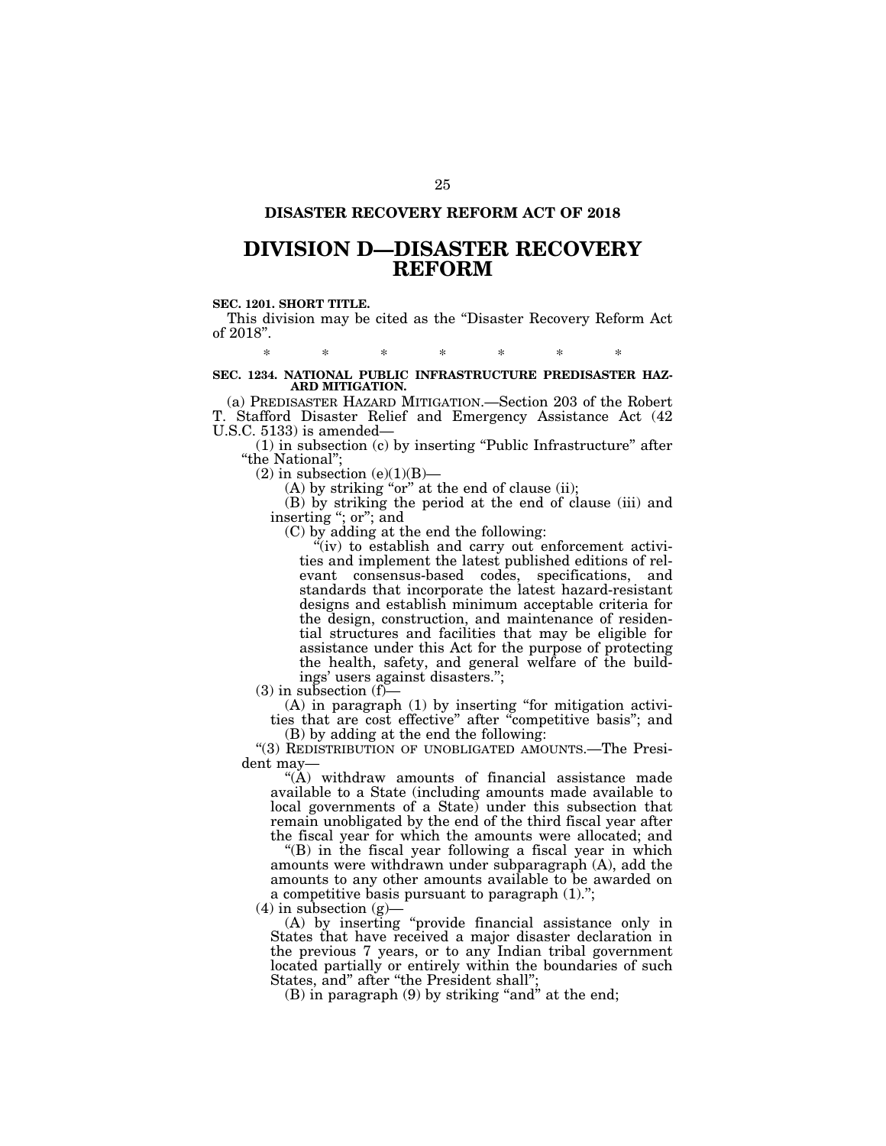## **DISASTER RECOVERY REFORM ACT OF 2018**

# **DIVISION D—DISASTER RECOVERY REFORM**

# **SEC. 1201. SHORT TITLE.**

This division may be cited as the ''Disaster Recovery Reform Act of 2018''.

\* \* \* \* \* \* \*

## **SEC. 1234. NATIONAL PUBLIC INFRASTRUCTURE PREDISASTER HAZ-ARD MITIGATION.**

(a) PREDISASTER HAZARD MITIGATION.—Section 203 of the Robert T. Stafford Disaster Relief and Emergency Assistance Act (42 U.S.C. 5133) is amended—

(1) in subsection (c) by inserting ''Public Infrastructure'' after ''the National'';

 $(2)$  in subsection  $(e)(1)(B)$ —

 $(A)$  by striking "or" at the end of clause (ii);

(B) by striking the period at the end of clause (iii) and inserting "; or"; and

(C) by adding at the end the following:

 $\mathbf{u}^{\mu}$  (iv) to establish and carry out enforcement activities and implement the latest published editions of relevant consensus-based codes, specifications, and standards that incorporate the latest hazard-resistant designs and establish minimum acceptable criteria for the design, construction, and maintenance of residential structures and facilities that may be eligible for assistance under this Act for the purpose of protecting the health, safety, and general welfare of the buildings' users against disasters.'';

 $(3)$  in subsection  $(f)$ —

(A) in paragraph (1) by inserting ''for mitigation activities that are cost effective'' after ''competitive basis''; and (B) by adding at the end the following:

''(3) REDISTRIBUTION OF UNOBLIGATED AMOUNTS.—The President may—

"(A) withdraw amounts of financial assistance made available to a State (including amounts made available to local governments of a State) under this subsection that remain unobligated by the end of the third fiscal year after the fiscal year for which the amounts were allocated; and

(B) in the fiscal year following a fiscal year in which amounts were withdrawn under subparagraph (A), add the amounts to any other amounts available to be awarded on a competitive basis pursuant to paragraph (1).'';

 $(4)$  in subsection  $(g)$ 

(A) by inserting ''provide financial assistance only in States that have received a major disaster declaration in the previous 7 years, or to any Indian tribal government located partially or entirely within the boundaries of such States, and" after "the President shall";

 $(B)$  in paragraph  $(9)$  by striking "and" at the end;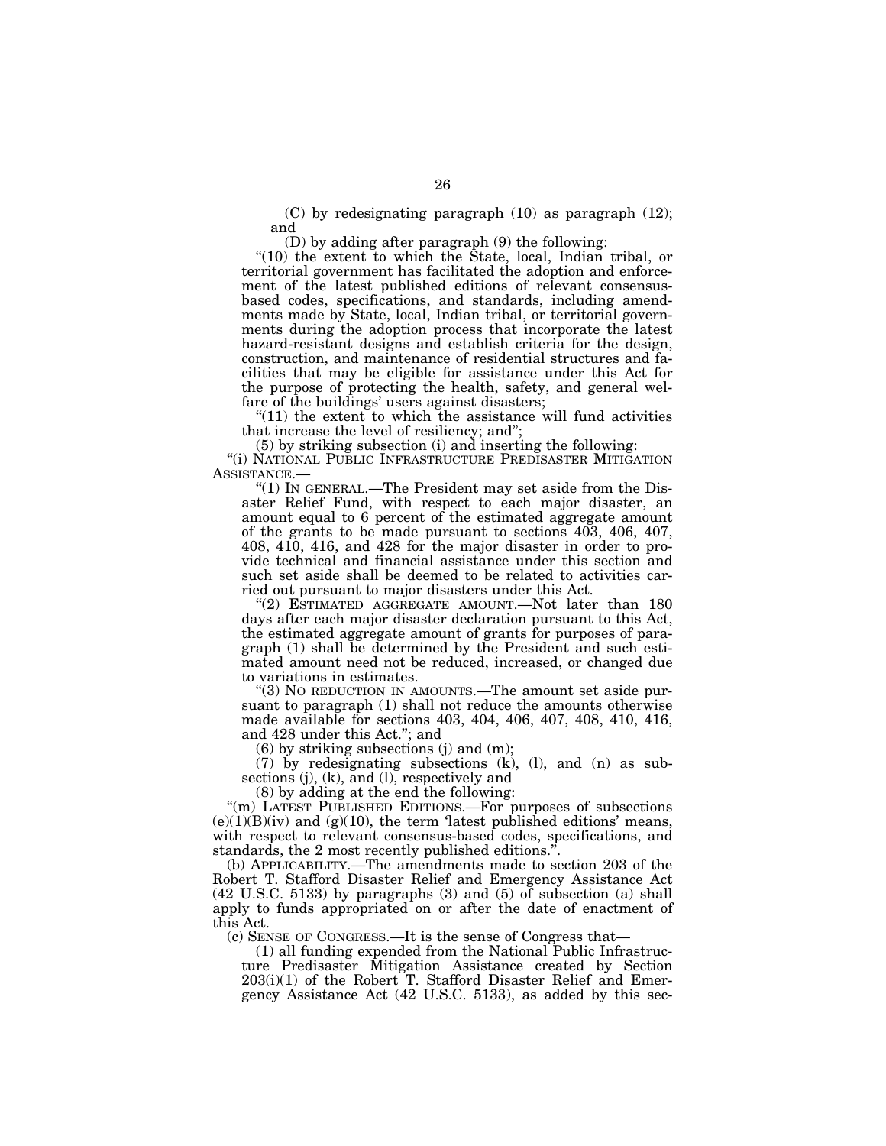(C) by redesignating paragraph (10) as paragraph (12); and

(D) by adding after paragraph (9) the following:

"(10) the extent to which the State, local, Indian tribal, or territorial government has facilitated the adoption and enforcement of the latest published editions of relevant consensusbased codes, specifications, and standards, including amendments made by State, local, Indian tribal, or territorial governments during the adoption process that incorporate the latest hazard-resistant designs and establish criteria for the design, construction, and maintenance of residential structures and facilities that may be eligible for assistance under this Act for the purpose of protecting the health, safety, and general welfare of the buildings' users against disasters;

" $(11)$  the extent to which the assistance will fund activities that increase the level of resiliency; and'';

(5) by striking subsection (i) and inserting the following:

''(i) NATIONAL PUBLIC INFRASTRUCTURE PREDISASTER MITIGATION ASSISTANCE.—

"(1) In GENERAL.—The President may set aside from the Disaster Relief Fund, with respect to each major disaster, an amount equal to 6 percent of the estimated aggregate amount of the grants to be made pursuant to sections 403, 406, 407, 408, 410, 416, and 428 for the major disaster in order to provide technical and financial assistance under this section and such set aside shall be deemed to be related to activities carried out pursuant to major disasters under this Act.

"(2) ESTIMATED AGGREGATE AMOUNT.—Not later than 180 days after each major disaster declaration pursuant to this Act, the estimated aggregate amount of grants for purposes of paragraph (1) shall be determined by the President and such estimated amount need not be reduced, increased, or changed due to variations in estimates.

''(3) NO REDUCTION IN AMOUNTS.—The amount set aside pursuant to paragraph (1) shall not reduce the amounts otherwise made available for sections 403, 404, 406, 407, 408, 410, 416, and 428 under this Act.''; and

(6) by striking subsections (j) and (m);

(7) by redesignating subsections (k), (l), and (n) as subsections (j), (k), and (l), respectively and

(8) by adding at the end the following:

"(m) LATEST PUBLISHED EDITIONS.—For purposes of subsections  $(e)(1)(B)(iv)$  and  $(g)(10)$ , the term 'latest published editions' means, with respect to relevant consensus-based codes, specifications, and standards, the 2 most recently published editions."

(b) APPLICABILITY.—The amendments made to section 203 of the Robert T. Stafford Disaster Relief and Emergency Assistance Act (42 U.S.C. 5133) by paragraphs (3) and (5) of subsection (a) shall apply to funds appropriated on or after the date of enactment of this Act.

(c) SENSE OF CONGRESS.—It is the sense of Congress that—

(1) all funding expended from the National Public Infrastructure Predisaster Mitigation Assistance created by Section 203(i)(1) of the Robert T. Stafford Disaster Relief and Emergency Assistance Act (42 U.S.C. 5133), as added by this sec